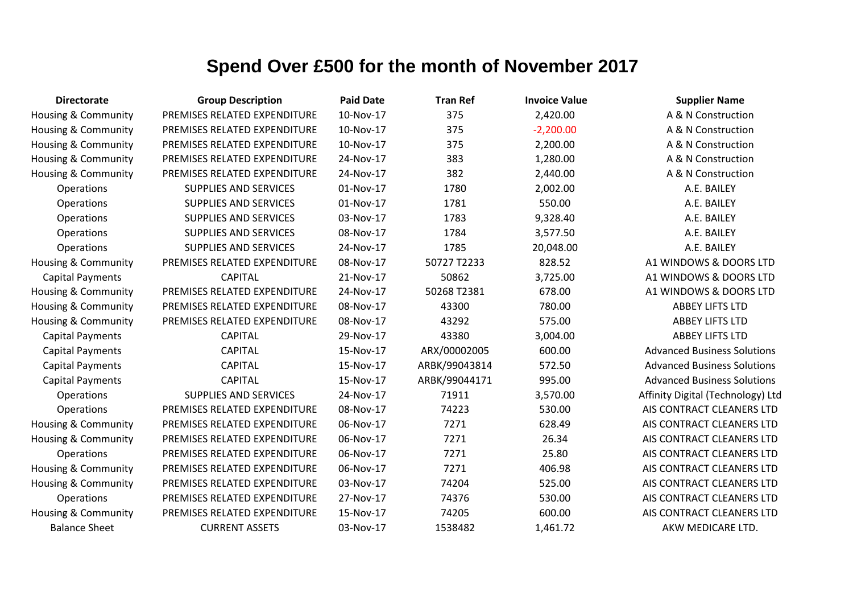| <b>Directorate</b>             | <b>Group Description</b>     | <b>Paid Date</b> | <b>Tran Ref</b> | <b>Invoice Value</b> | <b>Supplier Name</b>               |
|--------------------------------|------------------------------|------------------|-----------------|----------------------|------------------------------------|
| Housing & Community            | PREMISES RELATED EXPENDITURE | 10-Nov-17        | 375             | 2,420.00             | A & N Construction                 |
| Housing & Community            | PREMISES RELATED EXPENDITURE | 10-Nov-17        | 375             | $-2,200.00$          | A & N Construction                 |
| Housing & Community            | PREMISES RELATED EXPENDITURE | 10-Nov-17        | 375             | 2,200.00             | A & N Construction                 |
| Housing & Community            | PREMISES RELATED EXPENDITURE | 24-Nov-17        | 383             | 1,280.00             | A & N Construction                 |
| Housing & Community            | PREMISES RELATED EXPENDITURE | 24-Nov-17        | 382             | 2,440.00             | A & N Construction                 |
| Operations                     | <b>SUPPLIES AND SERVICES</b> | 01-Nov-17        | 1780            | 2,002.00             | A.E. BAILEY                        |
| Operations                     | <b>SUPPLIES AND SERVICES</b> | 01-Nov-17        | 1781            | 550.00               | A.E. BAILEY                        |
| Operations                     | <b>SUPPLIES AND SERVICES</b> | 03-Nov-17        | 1783            | 9,328.40             | A.E. BAILEY                        |
| Operations                     | <b>SUPPLIES AND SERVICES</b> | 08-Nov-17        | 1784            | 3,577.50             | A.E. BAILEY                        |
| Operations                     | <b>SUPPLIES AND SERVICES</b> | 24-Nov-17        | 1785            | 20,048.00            | A.E. BAILEY                        |
| <b>Housing &amp; Community</b> | PREMISES RELATED EXPENDITURE | 08-Nov-17        | 50727 T2233     | 828.52               | A1 WINDOWS & DOORS LTD             |
| <b>Capital Payments</b>        | <b>CAPITAL</b>               | 21-Nov-17        | 50862           | 3,725.00             | A1 WINDOWS & DOORS LTD             |
| Housing & Community            | PREMISES RELATED EXPENDITURE | 24-Nov-17        | 50268 T2381     | 678.00               | A1 WINDOWS & DOORS LTD             |
| Housing & Community            | PREMISES RELATED EXPENDITURE | 08-Nov-17        | 43300           | 780.00               | <b>ABBEY LIFTS LTD</b>             |
| Housing & Community            | PREMISES RELATED EXPENDITURE | 08-Nov-17        | 43292           | 575.00               | <b>ABBEY LIFTS LTD</b>             |
| <b>Capital Payments</b>        | <b>CAPITAL</b>               | 29-Nov-17        | 43380           | 3,004.00             | <b>ABBEY LIFTS LTD</b>             |
| <b>Capital Payments</b>        | <b>CAPITAL</b>               | 15-Nov-17        | ARX/00002005    | 600.00               | <b>Advanced Business Solutions</b> |
| <b>Capital Payments</b>        | <b>CAPITAL</b>               | 15-Nov-17        | ARBK/99043814   | 572.50               | <b>Advanced Business Solutions</b> |
| <b>Capital Payments</b>        | <b>CAPITAL</b>               | 15-Nov-17        | ARBK/99044171   | 995.00               | <b>Advanced Business Solutions</b> |
| Operations                     | <b>SUPPLIES AND SERVICES</b> | 24-Nov-17        | 71911           | 3,570.00             | Affinity Digital (Technology) Ltd  |
| Operations                     | PREMISES RELATED EXPENDITURE | 08-Nov-17        | 74223           | 530.00               | AIS CONTRACT CLEANERS LTD          |
| Housing & Community            | PREMISES RELATED EXPENDITURE | 06-Nov-17        | 7271            | 628.49               | AIS CONTRACT CLEANERS LTD          |
| <b>Housing &amp; Community</b> | PREMISES RELATED EXPENDITURE | 06-Nov-17        | 7271            | 26.34                | AIS CONTRACT CLEANERS LTD          |
| Operations                     | PREMISES RELATED EXPENDITURE | 06-Nov-17        | 7271            | 25.80                | AIS CONTRACT CLEANERS LTD          |
| Housing & Community            | PREMISES RELATED EXPENDITURE | 06-Nov-17        | 7271            | 406.98               | AIS CONTRACT CLEANERS LTD          |
| <b>Housing &amp; Community</b> | PREMISES RELATED EXPENDITURE | 03-Nov-17        | 74204           | 525.00               | AIS CONTRACT CLEANERS LTD          |
| Operations                     | PREMISES RELATED EXPENDITURE | 27-Nov-17        | 74376           | 530.00               | AIS CONTRACT CLEANERS LTD          |
| <b>Housing &amp; Community</b> | PREMISES RELATED EXPENDITURE | 15-Nov-17        | 74205           | 600.00               | AIS CONTRACT CLEANERS LTD          |
| <b>Balance Sheet</b>           | <b>CURRENT ASSETS</b>        | 03-Nov-17        | 1538482         | 1,461.72             | AKW MEDICARE LTD.                  |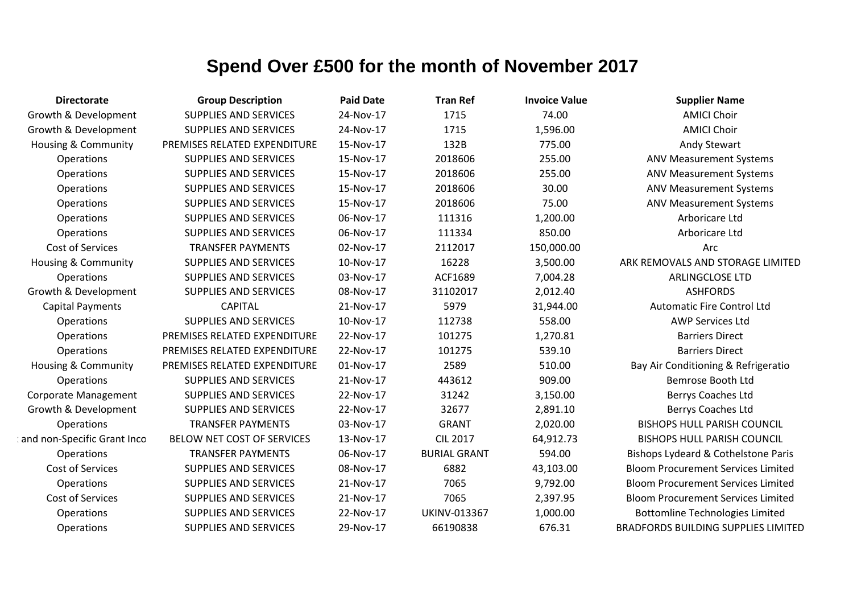| <b>Directorate</b>             | <b>Group Description</b>     | <b>Paid Date</b> | <b>Tran Ref</b>     | <b>Invoice Value</b> | <b>Supplier Name</b>                       |
|--------------------------------|------------------------------|------------------|---------------------|----------------------|--------------------------------------------|
| Growth & Development           | <b>SUPPLIES AND SERVICES</b> | 24-Nov-17        | 1715                | 74.00                | <b>AMICI Choir</b>                         |
| Growth & Development           | <b>SUPPLIES AND SERVICES</b> | 24-Nov-17        | 1715                | 1,596.00             | <b>AMICI Choir</b>                         |
| <b>Housing &amp; Community</b> | PREMISES RELATED EXPENDITURE | 15-Nov-17        | 132B                | 775.00               | <b>Andy Stewart</b>                        |
| Operations                     | <b>SUPPLIES AND SERVICES</b> | 15-Nov-17        | 2018606             | 255.00               | <b>ANV Measurement Systems</b>             |
| Operations                     | <b>SUPPLIES AND SERVICES</b> | 15-Nov-17        | 2018606             | 255.00               | <b>ANV Measurement Systems</b>             |
| Operations                     | <b>SUPPLIES AND SERVICES</b> | 15-Nov-17        | 2018606             | 30.00                | <b>ANV Measurement Systems</b>             |
| Operations                     | <b>SUPPLIES AND SERVICES</b> | 15-Nov-17        | 2018606             | 75.00                | <b>ANV Measurement Systems</b>             |
| Operations                     | <b>SUPPLIES AND SERVICES</b> | 06-Nov-17        | 111316              | 1,200.00             | Arboricare Ltd                             |
| Operations                     | <b>SUPPLIES AND SERVICES</b> | 06-Nov-17        | 111334              | 850.00               | Arboricare Ltd                             |
| <b>Cost of Services</b>        | <b>TRANSFER PAYMENTS</b>     | 02-Nov-17        | 2112017             | 150,000.00           | Arc                                        |
| <b>Housing &amp; Community</b> | <b>SUPPLIES AND SERVICES</b> | 10-Nov-17        | 16228               | 3,500.00             | ARK REMOVALS AND STORAGE LIMITED           |
| Operations                     | <b>SUPPLIES AND SERVICES</b> | 03-Nov-17        | ACF1689             | 7,004.28             | ARLINGCLOSE LTD                            |
| Growth & Development           | <b>SUPPLIES AND SERVICES</b> | 08-Nov-17        | 31102017            | 2,012.40             | <b>ASHFORDS</b>                            |
| <b>Capital Payments</b>        | <b>CAPITAL</b>               | 21-Nov-17        | 5979                | 31,944.00            | <b>Automatic Fire Control Ltd</b>          |
| Operations                     | <b>SUPPLIES AND SERVICES</b> | 10-Nov-17        | 112738              | 558.00               | <b>AWP Services Ltd</b>                    |
| Operations                     | PREMISES RELATED EXPENDITURE | 22-Nov-17        | 101275              | 1,270.81             | <b>Barriers Direct</b>                     |
| Operations                     | PREMISES RELATED EXPENDITURE | 22-Nov-17        | 101275              | 539.10               | <b>Barriers Direct</b>                     |
| <b>Housing &amp; Community</b> | PREMISES RELATED EXPENDITURE | 01-Nov-17        | 2589                | 510.00               | Bay Air Conditioning & Refrigeratio        |
| Operations                     | <b>SUPPLIES AND SERVICES</b> | 21-Nov-17        | 443612              | 909.00               | Bemrose Booth Ltd                          |
| <b>Corporate Management</b>    | <b>SUPPLIES AND SERVICES</b> | 22-Nov-17        | 31242               | 3,150.00             | Berrys Coaches Ltd                         |
| Growth & Development           | <b>SUPPLIES AND SERVICES</b> | 22-Nov-17        | 32677               | 2,891.10             | <b>Berrys Coaches Ltd</b>                  |
| Operations                     | <b>TRANSFER PAYMENTS</b>     | 03-Nov-17        | <b>GRANT</b>        | 2,020.00             | <b>BISHOPS HULL PARISH COUNCIL</b>         |
| and non-Specific Grant Inco    | BELOW NET COST OF SERVICES   | 13-Nov-17        | <b>CIL 2017</b>     | 64,912.73            | <b>BISHOPS HULL PARISH COUNCIL</b>         |
| Operations                     | <b>TRANSFER PAYMENTS</b>     | 06-Nov-17        | <b>BURIAL GRANT</b> | 594.00               | Bishops Lydeard & Cothelstone Paris        |
| Cost of Services               | <b>SUPPLIES AND SERVICES</b> | 08-Nov-17        | 6882                | 43,103.00            | <b>Bloom Procurement Services Limited</b>  |
| Operations                     | <b>SUPPLIES AND SERVICES</b> | 21-Nov-17        | 7065                | 9,792.00             | <b>Bloom Procurement Services Limited</b>  |
| Cost of Services               | <b>SUPPLIES AND SERVICES</b> | 21-Nov-17        | 7065                | 2,397.95             | <b>Bloom Procurement Services Limited</b>  |
| Operations                     | <b>SUPPLIES AND SERVICES</b> | 22-Nov-17        | <b>UKINV-013367</b> | 1,000.00             | <b>Bottomline Technologies Limited</b>     |
| Operations                     | <b>SUPPLIES AND SERVICES</b> | 29-Nov-17        | 66190838            | 676.31               | <b>BRADFORDS BUILDING SUPPLIES LIMITED</b> |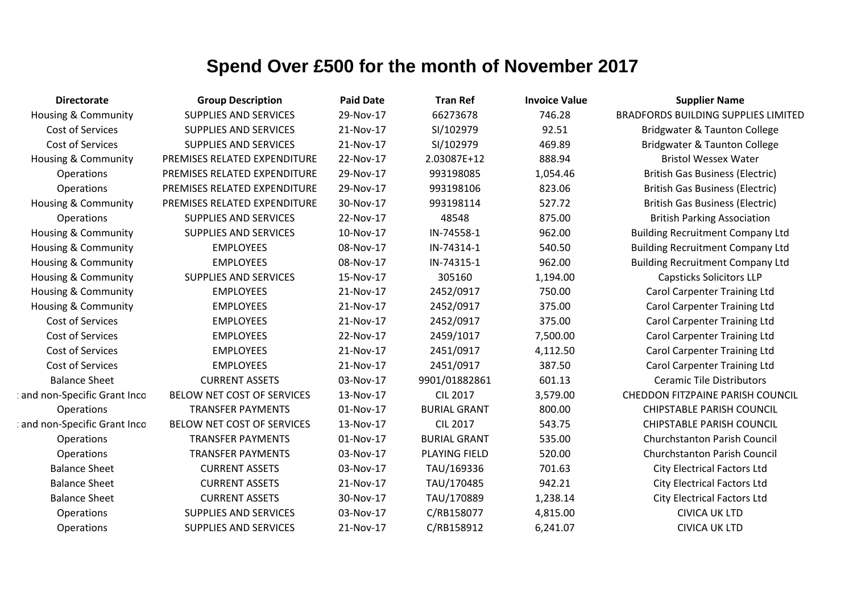| <b>Directorate</b>             | <b>Group Description</b>     | <b>Paid Date</b> | <b>Tran Ref</b>      | <b>Invoice Value</b> | <b>Supplier Name</b>                       |
|--------------------------------|------------------------------|------------------|----------------------|----------------------|--------------------------------------------|
| <b>Housing &amp; Community</b> | <b>SUPPLIES AND SERVICES</b> | 29-Nov-17        | 66273678             | 746.28               | <b>BRADFORDS BUILDING SUPPLIES LIMITED</b> |
| Cost of Services               | <b>SUPPLIES AND SERVICES</b> | 21-Nov-17        | SI/102979            | 92.51                | Bridgwater & Taunton College               |
| Cost of Services               | <b>SUPPLIES AND SERVICES</b> | 21-Nov-17        | SI/102979            | 469.89               | Bridgwater & Taunton College               |
| Housing & Community            | PREMISES RELATED EXPENDITURE | 22-Nov-17        | 2.03087E+12          | 888.94               | <b>Bristol Wessex Water</b>                |
| Operations                     | PREMISES RELATED EXPENDITURE | 29-Nov-17        | 993198085            | 1,054.46             | <b>British Gas Business (Electric)</b>     |
| Operations                     | PREMISES RELATED EXPENDITURE | 29-Nov-17        | 993198106            | 823.06               | <b>British Gas Business (Electric)</b>     |
| Housing & Community            | PREMISES RELATED EXPENDITURE | 30-Nov-17        | 993198114            | 527.72               | <b>British Gas Business (Electric)</b>     |
| Operations                     | <b>SUPPLIES AND SERVICES</b> | 22-Nov-17        | 48548                | 875.00               | <b>British Parking Association</b>         |
| <b>Housing &amp; Community</b> | <b>SUPPLIES AND SERVICES</b> | 10-Nov-17        | IN-74558-1           | 962.00               | <b>Building Recruitment Company Ltd</b>    |
| <b>Housing &amp; Community</b> | <b>EMPLOYEES</b>             | 08-Nov-17        | IN-74314-1           | 540.50               | <b>Building Recruitment Company Ltd</b>    |
| Housing & Community            | <b>EMPLOYEES</b>             | 08-Nov-17        | IN-74315-1           | 962.00               | <b>Building Recruitment Company Ltd</b>    |
| Housing & Community            | <b>SUPPLIES AND SERVICES</b> | 15-Nov-17        | 305160               | 1,194.00             | <b>Capsticks Solicitors LLP</b>            |
| <b>Housing &amp; Community</b> | <b>EMPLOYEES</b>             | 21-Nov-17        | 2452/0917            | 750.00               | <b>Carol Carpenter Training Ltd</b>        |
| <b>Housing &amp; Community</b> | <b>EMPLOYEES</b>             | 21-Nov-17        | 2452/0917            | 375.00               | <b>Carol Carpenter Training Ltd</b>        |
| Cost of Services               | <b>EMPLOYEES</b>             | 21-Nov-17        | 2452/0917            | 375.00               | <b>Carol Carpenter Training Ltd</b>        |
| Cost of Services               | <b>EMPLOYEES</b>             | 22-Nov-17        | 2459/1017            | 7,500.00             | <b>Carol Carpenter Training Ltd</b>        |
| Cost of Services               | <b>EMPLOYEES</b>             | 21-Nov-17        | 2451/0917            | 4,112.50             | <b>Carol Carpenter Training Ltd</b>        |
| Cost of Services               | <b>EMPLOYEES</b>             | 21-Nov-17        | 2451/0917            | 387.50               | <b>Carol Carpenter Training Ltd</b>        |
| <b>Balance Sheet</b>           | <b>CURRENT ASSETS</b>        | 03-Nov-17        | 9901/01882861        | 601.13               | <b>Ceramic Tile Distributors</b>           |
| and non-Specific Grant Inco    | BELOW NET COST OF SERVICES   | 13-Nov-17        | <b>CIL 2017</b>      | 3,579.00             | <b>CHEDDON FITZPAINE PARISH COUNCIL</b>    |
| Operations                     | <b>TRANSFER PAYMENTS</b>     | 01-Nov-17        | <b>BURIAL GRANT</b>  | 800.00               | <b>CHIPSTABLE PARISH COUNCIL</b>           |
| and non-Specific Grant Inco    | BELOW NET COST OF SERVICES   | 13-Nov-17        | <b>CIL 2017</b>      | 543.75               | <b>CHIPSTABLE PARISH COUNCIL</b>           |
| Operations                     | <b>TRANSFER PAYMENTS</b>     | 01-Nov-17        | <b>BURIAL GRANT</b>  | 535.00               | <b>Churchstanton Parish Council</b>        |
| Operations                     | <b>TRANSFER PAYMENTS</b>     | 03-Nov-17        | <b>PLAYING FIELD</b> | 520.00               | <b>Churchstanton Parish Council</b>        |
| <b>Balance Sheet</b>           | <b>CURRENT ASSETS</b>        | 03-Nov-17        | TAU/169336           | 701.63               | <b>City Electrical Factors Ltd</b>         |
| <b>Balance Sheet</b>           | <b>CURRENT ASSETS</b>        | 21-Nov-17        | TAU/170485           | 942.21               | <b>City Electrical Factors Ltd</b>         |
| <b>Balance Sheet</b>           | <b>CURRENT ASSETS</b>        | 30-Nov-17        | TAU/170889           | 1,238.14             | <b>City Electrical Factors Ltd</b>         |
| Operations                     | <b>SUPPLIES AND SERVICES</b> | 03-Nov-17        | C/RB158077           | 4,815.00             | <b>CIVICA UK LTD</b>                       |
| Operations                     | <b>SUPPLIES AND SERVICES</b> | 21-Nov-17        | C/RB158912           | 6,241.07             | <b>CIVICA UK LTD</b>                       |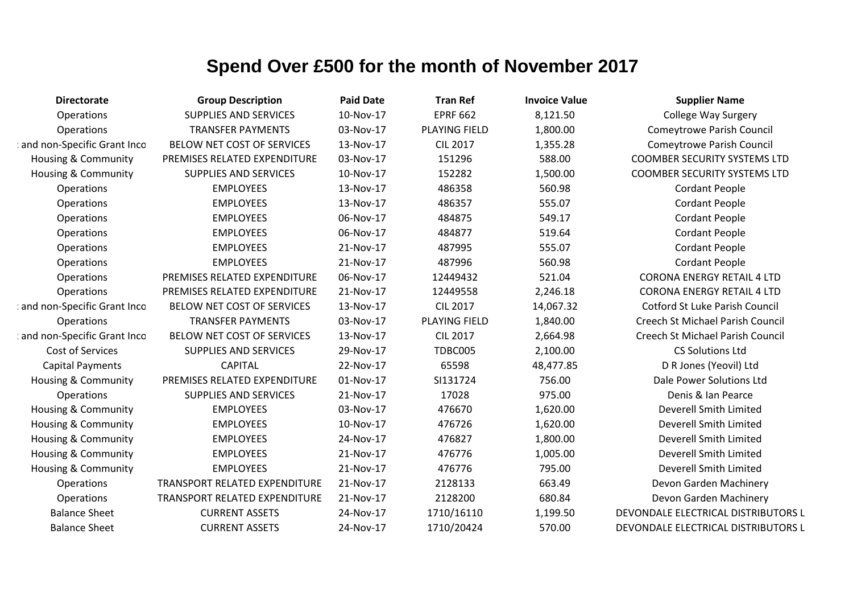| <b>Directorate</b>             | <b>Group Description</b>      | <b>Paid Date</b> | <b>Tran Ref</b>      | <b>Invoice Value</b> | <b>Supplier Name</b>                  |
|--------------------------------|-------------------------------|------------------|----------------------|----------------------|---------------------------------------|
| Operations                     | <b>SUPPLIES AND SERVICES</b>  | 10-Nov-17        | <b>EPRF 662</b>      | 8,121.50             | <b>College Way Surgery</b>            |
| Operations                     | <b>TRANSFER PAYMENTS</b>      | 03-Nov-17        | PLAYING FIELD        | 1,800.00             | <b>Comeytrowe Parish Council</b>      |
| and non-Specific Grant Inco    | BELOW NET COST OF SERVICES    | 13-Nov-17        | <b>CIL 2017</b>      | 1,355.28             | <b>Comeytrowe Parish Council</b>      |
| <b>Housing &amp; Community</b> | PREMISES RELATED EXPENDITURE  | 03-Nov-17        | 151296               | 588.00               | <b>COOMBER SECURITY SYSTEMS LTD</b>   |
| Housing & Community            | <b>SUPPLIES AND SERVICES</b>  | 10-Nov-17        | 152282               | 1,500.00             | <b>COOMBER SECURITY SYSTEMS LTD</b>   |
| Operations                     | <b>EMPLOYEES</b>              | 13-Nov-17        | 486358               | 560.98               | <b>Cordant People</b>                 |
| Operations                     | <b>EMPLOYEES</b>              | 13-Nov-17        | 486357               | 555.07               | <b>Cordant People</b>                 |
| Operations                     | <b>EMPLOYEES</b>              | 06-Nov-17        | 484875               | 549.17               | <b>Cordant People</b>                 |
| Operations                     | <b>EMPLOYEES</b>              | 06-Nov-17        | 484877               | 519.64               | <b>Cordant People</b>                 |
| Operations                     | <b>EMPLOYEES</b>              | 21-Nov-17        | 487995               | 555.07               | <b>Cordant People</b>                 |
| Operations                     | <b>EMPLOYEES</b>              | 21-Nov-17        | 487996               | 560.98               | <b>Cordant People</b>                 |
| Operations                     | PREMISES RELATED EXPENDITURE  | 06-Nov-17        | 12449432             | 521.04               | <b>CORONA ENERGY RETAIL 4 LTD</b>     |
| Operations                     | PREMISES RELATED EXPENDITURE  | 21-Nov-17        | 12449558             | 2,246.18             | <b>CORONA ENERGY RETAIL 4 LTD</b>     |
| and non-Specific Grant Inco    | BELOW NET COST OF SERVICES    | 13-Nov-17        | <b>CIL 2017</b>      | 14,067.32            | <b>Cotford St Luke Parish Council</b> |
| Operations                     | <b>TRANSFER PAYMENTS</b>      | 03-Nov-17        | <b>PLAYING FIELD</b> | 1,840.00             | Creech St Michael Parish Council      |
| and non-Specific Grant Inco    | BELOW NET COST OF SERVICES    | 13-Nov-17        | <b>CIL 2017</b>      | 2,664.98             | Creech St Michael Parish Council      |
| Cost of Services               | <b>SUPPLIES AND SERVICES</b>  | 29-Nov-17        | TDBC005              | 2,100.00             | <b>CS Solutions Ltd</b>               |
| <b>Capital Payments</b>        | <b>CAPITAL</b>                | 22-Nov-17        | 65598                | 48,477.85            | D R Jones (Yeovil) Ltd                |
| Housing & Community            | PREMISES RELATED EXPENDITURE  | 01-Nov-17        | SI131724             | 756.00               | Dale Power Solutions Ltd              |
| Operations                     | <b>SUPPLIES AND SERVICES</b>  | 21-Nov-17        | 17028                | 975.00               | Denis & Ian Pearce                    |
| <b>Housing &amp; Community</b> | <b>EMPLOYEES</b>              | 03-Nov-17        | 476670               | 1,620.00             | Deverell Smith Limited                |
| Housing & Community            | <b>EMPLOYEES</b>              | 10-Nov-17        | 476726               | 1,620.00             | Deverell Smith Limited                |
| <b>Housing &amp; Community</b> | <b>EMPLOYEES</b>              | 24-Nov-17        | 476827               | 1,800.00             | Deverell Smith Limited                |
| <b>Housing &amp; Community</b> | <b>EMPLOYEES</b>              | 21-Nov-17        | 476776               | 1,005.00             | Deverell Smith Limited                |
| <b>Housing &amp; Community</b> | <b>EMPLOYEES</b>              | 21-Nov-17        | 476776               | 795.00               | Deverell Smith Limited                |
| Operations                     | TRANSPORT RELATED EXPENDITURE | 21-Nov-17        | 2128133              | 663.49               | Devon Garden Machinery                |
| Operations                     | TRANSPORT RELATED EXPENDITURE | 21-Nov-17        | 2128200              | 680.84               | Devon Garden Machinery                |
| <b>Balance Sheet</b>           | <b>CURRENT ASSETS</b>         | 24-Nov-17        | 1710/16110           | 1,199.50             | DEVONDALE ELECTRICAL DISTRIBUTORS L   |
| <b>Balance Sheet</b>           | <b>CURRENT ASSETS</b>         | 24-Nov-17        | 1710/20424           | 570.00               | DEVONDALE ELECTRICAL DISTRIBUTORS L   |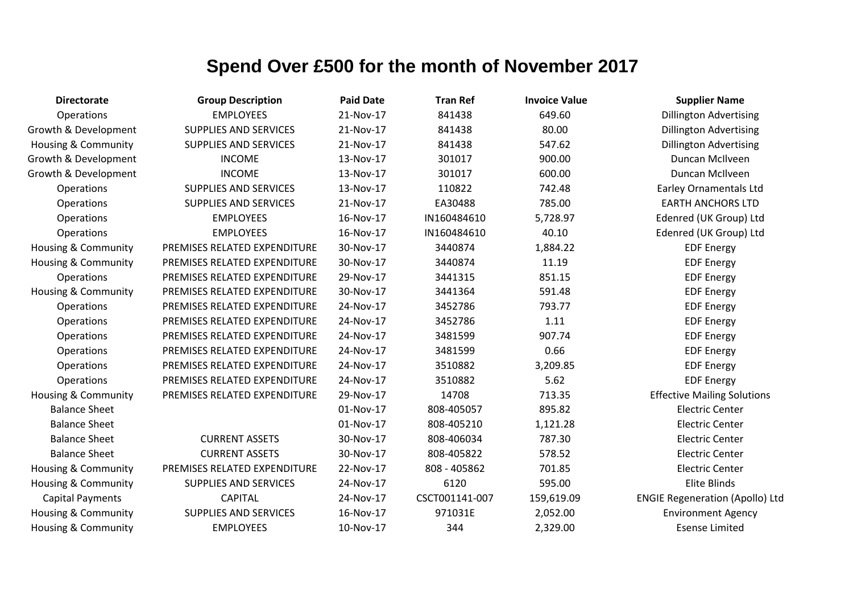| <b>Directorate</b>             | <b>Group Description</b>     | <b>Paid Date</b> | <b>Tran Ref</b> | <b>Invoice Value</b> | <b>Supplier Name</b>                   |
|--------------------------------|------------------------------|------------------|-----------------|----------------------|----------------------------------------|
| Operations                     | <b>EMPLOYEES</b>             | 21-Nov-17        | 841438          | 649.60               | <b>Dillington Advertising</b>          |
| Growth & Development           | <b>SUPPLIES AND SERVICES</b> | 21-Nov-17        | 841438          | 80.00                | <b>Dillington Advertising</b>          |
| <b>Housing &amp; Community</b> | <b>SUPPLIES AND SERVICES</b> | 21-Nov-17        | 841438          | 547.62               | <b>Dillington Advertising</b>          |
| Growth & Development           | <b>INCOME</b>                | 13-Nov-17        | 301017          | 900.00               | Duncan McIlveen                        |
| Growth & Development           | <b>INCOME</b>                | 13-Nov-17        | 301017          | 600.00               | Duncan McIlveen                        |
| Operations                     | <b>SUPPLIES AND SERVICES</b> | 13-Nov-17        | 110822          | 742.48               | <b>Earley Ornamentals Ltd</b>          |
| Operations                     | <b>SUPPLIES AND SERVICES</b> | 21-Nov-17        | EA30488         | 785.00               | <b>EARTH ANCHORS LTD</b>               |
| Operations                     | <b>EMPLOYEES</b>             | 16-Nov-17        | IN160484610     | 5,728.97             | Edenred (UK Group) Ltd                 |
| Operations                     | <b>EMPLOYEES</b>             | 16-Nov-17        | IN160484610     | 40.10                | Edenred (UK Group) Ltd                 |
| <b>Housing &amp; Community</b> | PREMISES RELATED EXPENDITURE | 30-Nov-17        | 3440874         | 1,884.22             | <b>EDF Energy</b>                      |
| Housing & Community            | PREMISES RELATED EXPENDITURE | 30-Nov-17        | 3440874         | 11.19                | <b>EDF Energy</b>                      |
| Operations                     | PREMISES RELATED EXPENDITURE | 29-Nov-17        | 3441315         | 851.15               | <b>EDF Energy</b>                      |
| <b>Housing &amp; Community</b> | PREMISES RELATED EXPENDITURE | 30-Nov-17        | 3441364         | 591.48               | <b>EDF Energy</b>                      |
| Operations                     | PREMISES RELATED EXPENDITURE | 24-Nov-17        | 3452786         | 793.77               | <b>EDF Energy</b>                      |
| Operations                     | PREMISES RELATED EXPENDITURE | 24-Nov-17        | 3452786         | 1.11                 | <b>EDF Energy</b>                      |
| Operations                     | PREMISES RELATED EXPENDITURE | 24-Nov-17        | 3481599         | 907.74               | <b>EDF Energy</b>                      |
| Operations                     | PREMISES RELATED EXPENDITURE | 24-Nov-17        | 3481599         | 0.66                 | <b>EDF Energy</b>                      |
| Operations                     | PREMISES RELATED EXPENDITURE | 24-Nov-17        | 3510882         | 3,209.85             | <b>EDF Energy</b>                      |
| Operations                     | PREMISES RELATED EXPENDITURE | 24-Nov-17        | 3510882         | 5.62                 | <b>EDF Energy</b>                      |
| <b>Housing &amp; Community</b> | PREMISES RELATED EXPENDITURE | 29-Nov-17        | 14708           | 713.35               | <b>Effective Mailing Solutions</b>     |
| <b>Balance Sheet</b>           |                              | 01-Nov-17        | 808-405057      | 895.82               | <b>Electric Center</b>                 |
| <b>Balance Sheet</b>           |                              | 01-Nov-17        | 808-405210      | 1,121.28             | <b>Electric Center</b>                 |
| <b>Balance Sheet</b>           | <b>CURRENT ASSETS</b>        | 30-Nov-17        | 808-406034      | 787.30               | <b>Electric Center</b>                 |
| <b>Balance Sheet</b>           | <b>CURRENT ASSETS</b>        | 30-Nov-17        | 808-405822      | 578.52               | <b>Electric Center</b>                 |
| <b>Housing &amp; Community</b> | PREMISES RELATED EXPENDITURE | 22-Nov-17        | 808 - 405862    | 701.85               | <b>Electric Center</b>                 |
| <b>Housing &amp; Community</b> | SUPPLIES AND SERVICES        | 24-Nov-17        | 6120            | 595.00               | <b>Elite Blinds</b>                    |
| <b>Capital Payments</b>        | <b>CAPITAL</b>               | 24-Nov-17        | CSCT001141-007  | 159,619.09           | <b>ENGIE Regeneration (Apollo) Ltd</b> |
| Housing & Community            | <b>SUPPLIES AND SERVICES</b> | 16-Nov-17        | 971031E         | 2,052.00             | <b>Environment Agency</b>              |
| <b>Housing &amp; Community</b> | <b>EMPLOYEES</b>             | 10-Nov-17        | 344             | 2,329.00             | <b>Esense Limited</b>                  |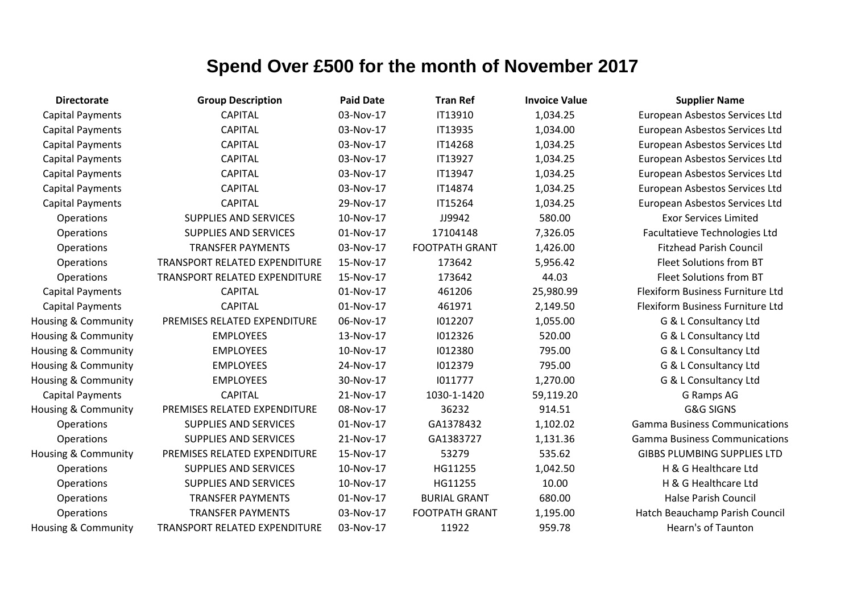| <b>Directorate</b>             | <b>Group Description</b>             | <b>Paid Date</b> | <b>Tran Ref</b>       | <b>Invoice Value</b> | <b>Supplier Name</b>                 |
|--------------------------------|--------------------------------------|------------------|-----------------------|----------------------|--------------------------------------|
| <b>Capital Payments</b>        | <b>CAPITAL</b>                       | 03-Nov-17        | IT13910               | 1,034.25             | European Asbestos Services Ltd       |
| <b>Capital Payments</b>        | <b>CAPITAL</b>                       | 03-Nov-17        | IT13935               | 1,034.00             | European Asbestos Services Ltd       |
| <b>Capital Payments</b>        | <b>CAPITAL</b>                       | 03-Nov-17        | IT14268               | 1,034.25             | European Asbestos Services Ltd       |
| <b>Capital Payments</b>        | <b>CAPITAL</b>                       | 03-Nov-17        | IT13927               | 1,034.25             | European Asbestos Services Ltd       |
| <b>Capital Payments</b>        | <b>CAPITAL</b>                       | 03-Nov-17        | IT13947               | 1,034.25             | European Asbestos Services Ltd       |
| <b>Capital Payments</b>        | <b>CAPITAL</b>                       | 03-Nov-17        | IT14874               | 1,034.25             | European Asbestos Services Ltd       |
| <b>Capital Payments</b>        | <b>CAPITAL</b>                       | 29-Nov-17        | IT15264               | 1,034.25             | European Asbestos Services Ltd       |
| Operations                     | <b>SUPPLIES AND SERVICES</b>         | 10-Nov-17        | JJ9942                | 580.00               | <b>Exor Services Limited</b>         |
| Operations                     | <b>SUPPLIES AND SERVICES</b>         | 01-Nov-17        | 17104148              | 7,326.05             | Facultatieve Technologies Ltd        |
| Operations                     | <b>TRANSFER PAYMENTS</b>             | 03-Nov-17        | <b>FOOTPATH GRANT</b> | 1,426.00             | <b>Fitzhead Parish Council</b>       |
| Operations                     | <b>TRANSPORT RELATED EXPENDITURE</b> | 15-Nov-17        | 173642                | 5,956.42             | Fleet Solutions from BT              |
| Operations                     | TRANSPORT RELATED EXPENDITURE        | 15-Nov-17        | 173642                | 44.03                | <b>Fleet Solutions from BT</b>       |
| <b>Capital Payments</b>        | <b>CAPITAL</b>                       | 01-Nov-17        | 461206                | 25,980.99            | Flexiform Business Furniture Ltd     |
| <b>Capital Payments</b>        | <b>CAPITAL</b>                       | 01-Nov-17        | 461971                | 2,149.50             | Flexiform Business Furniture Ltd     |
| Housing & Community            | PREMISES RELATED EXPENDITURE         | 06-Nov-17        | 1012207               | 1,055.00             | G & L Consultancy Ltd                |
| <b>Housing &amp; Community</b> | <b>EMPLOYEES</b>                     | 13-Nov-17        | 1012326               | 520.00               | G & L Consultancy Ltd                |
| <b>Housing &amp; Community</b> | <b>EMPLOYEES</b>                     | 10-Nov-17        | 1012380               | 795.00               | G & L Consultancy Ltd                |
| <b>Housing &amp; Community</b> | <b>EMPLOYEES</b>                     | 24-Nov-17        | 1012379               | 795.00               | G & L Consultancy Ltd                |
| <b>Housing &amp; Community</b> | <b>EMPLOYEES</b>                     | 30-Nov-17        | 1011777               | 1,270.00             | G & L Consultancy Ltd                |
| <b>Capital Payments</b>        | <b>CAPITAL</b>                       | 21-Nov-17        | 1030-1-1420           | 59,119.20            | G Ramps AG                           |
| <b>Housing &amp; Community</b> | PREMISES RELATED EXPENDITURE         | 08-Nov-17        | 36232                 | 914.51               | <b>G&amp;G SIGNS</b>                 |
| Operations                     | <b>SUPPLIES AND SERVICES</b>         | 01-Nov-17        | GA1378432             | 1,102.02             | <b>Gamma Business Communications</b> |
| Operations                     | <b>SUPPLIES AND SERVICES</b>         | 21-Nov-17        | GA1383727             | 1,131.36             | <b>Gamma Business Communications</b> |
| Housing & Community            | PREMISES RELATED EXPENDITURE         | 15-Nov-17        | 53279                 | 535.62               | <b>GIBBS PLUMBING SUPPLIES LTD</b>   |
| Operations                     | <b>SUPPLIES AND SERVICES</b>         | 10-Nov-17        | HG11255               | 1,042.50             | H & G Healthcare Ltd                 |
| Operations                     | <b>SUPPLIES AND SERVICES</b>         | 10-Nov-17        | HG11255               | 10.00                | H & G Healthcare Ltd                 |
| Operations                     | <b>TRANSFER PAYMENTS</b>             | 01-Nov-17        | <b>BURIAL GRANT</b>   | 680.00               | <b>Halse Parish Council</b>          |
| Operations                     | <b>TRANSFER PAYMENTS</b>             | 03-Nov-17        | <b>FOOTPATH GRANT</b> | 1,195.00             | Hatch Beauchamp Parish Council       |
| <b>Housing &amp; Community</b> | TRANSPORT RELATED EXPENDITURE        | 03-Nov-17        | 11922                 | 959.78               | <b>Hearn's of Taunton</b>            |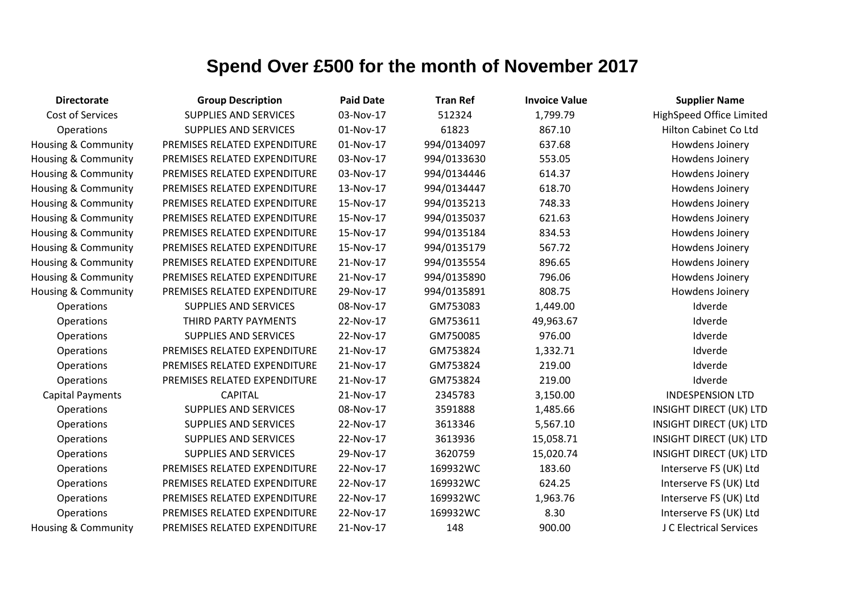| <b>Directorate</b>      | <b>Group Description</b>     | <b>Paid Date</b> | <b>Tran Ref</b> | <b>Invoice Value</b> | <b>Supplier Name</b>           |
|-------------------------|------------------------------|------------------|-----------------|----------------------|--------------------------------|
| Cost of Services        | <b>SUPPLIES AND SERVICES</b> | 03-Nov-17        | 512324          | 1,799.79             | HighSpeed Office Limited       |
| Operations              | <b>SUPPLIES AND SERVICES</b> | 01-Nov-17        | 61823           | 867.10               | Hilton Cabinet Co Ltd          |
| Housing & Community     | PREMISES RELATED EXPENDITURE | 01-Nov-17        | 994/0134097     | 637.68               | Howdens Joinery                |
| Housing & Community     | PREMISES RELATED EXPENDITURE | 03-Nov-17        | 994/0133630     | 553.05               | Howdens Joinery                |
| Housing & Community     | PREMISES RELATED EXPENDITURE | 03-Nov-17        | 994/0134446     | 614.37               | Howdens Joinery                |
| Housing & Community     | PREMISES RELATED EXPENDITURE | 13-Nov-17        | 994/0134447     | 618.70               | Howdens Joinery                |
| Housing & Community     | PREMISES RELATED EXPENDITURE | 15-Nov-17        | 994/0135213     | 748.33               | Howdens Joinery                |
| Housing & Community     | PREMISES RELATED EXPENDITURE | 15-Nov-17        | 994/0135037     | 621.63               | Howdens Joinery                |
| Housing & Community     | PREMISES RELATED EXPENDITURE | 15-Nov-17        | 994/0135184     | 834.53               | Howdens Joinery                |
| Housing & Community     | PREMISES RELATED EXPENDITURE | 15-Nov-17        | 994/0135179     | 567.72               | Howdens Joinery                |
| Housing & Community     | PREMISES RELATED EXPENDITURE | 21-Nov-17        | 994/0135554     | 896.65               | Howdens Joinery                |
| Housing & Community     | PREMISES RELATED EXPENDITURE | 21-Nov-17        | 994/0135890     | 796.06               | Howdens Joinery                |
| Housing & Community     | PREMISES RELATED EXPENDITURE | 29-Nov-17        | 994/0135891     | 808.75               | Howdens Joinery                |
| Operations              | <b>SUPPLIES AND SERVICES</b> | 08-Nov-17        | GM753083        | 1,449.00             | Idverde                        |
| <b>Operations</b>       | THIRD PARTY PAYMENTS         | 22-Nov-17        | GM753611        | 49,963.67            | Idverde                        |
| Operations              | <b>SUPPLIES AND SERVICES</b> | 22-Nov-17        | GM750085        | 976.00               | Idverde                        |
| Operations              | PREMISES RELATED EXPENDITURE | 21-Nov-17        | GM753824        | 1,332.71             | Idverde                        |
| Operations              | PREMISES RELATED EXPENDITURE | 21-Nov-17        | GM753824        | 219.00               | Idverde                        |
| Operations              | PREMISES RELATED EXPENDITURE | 21-Nov-17        | GM753824        | 219.00               | Idverde                        |
| <b>Capital Payments</b> | <b>CAPITAL</b>               | 21-Nov-17        | 2345783         | 3,150.00             | <b>INDESPENSION LTD</b>        |
| Operations              | <b>SUPPLIES AND SERVICES</b> | 08-Nov-17        | 3591888         | 1,485.66             | INSIGHT DIRECT (UK) LTD        |
| Operations              | <b>SUPPLIES AND SERVICES</b> | 22-Nov-17        | 3613346         | 5,567.10             | <b>INSIGHT DIRECT (UK) LTD</b> |
| Operations              | <b>SUPPLIES AND SERVICES</b> | 22-Nov-17        | 3613936         | 15,058.71            | INSIGHT DIRECT (UK) LTD        |
| <b>Operations</b>       | <b>SUPPLIES AND SERVICES</b> | 29-Nov-17        | 3620759         | 15,020.74            | INSIGHT DIRECT (UK) LTD        |
| Operations              | PREMISES RELATED EXPENDITURE | 22-Nov-17        | 169932WC        | 183.60               | Interserve FS (UK) Ltd         |
| Operations              | PREMISES RELATED EXPENDITURE | 22-Nov-17        | 169932WC        | 624.25               | Interserve FS (UK) Ltd         |
| Operations              | PREMISES RELATED EXPENDITURE | 22-Nov-17        | 169932WC        | 1,963.76             | Interserve FS (UK) Ltd         |
| Operations              | PREMISES RELATED EXPENDITURE | 22-Nov-17        | 169932WC        | 8.30                 | Interserve FS (UK) Ltd         |
| Housing & Community     | PREMISES RELATED EXPENDITURE | 21-Nov-17        | 148             | 900.00               | J C Electrical Services        |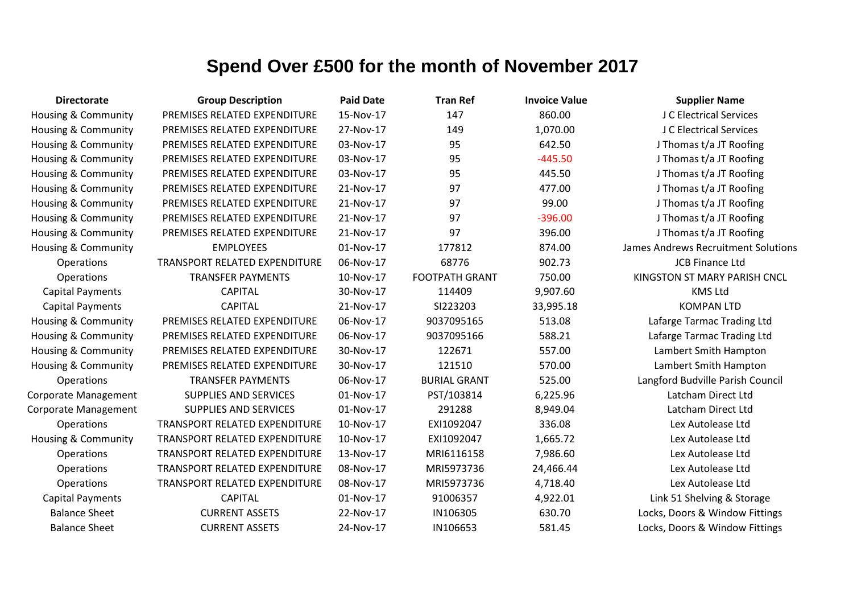| <b>Directorate</b>             | <b>Group Description</b>             | <b>Paid Date</b> | <b>Tran Ref</b>       | <b>Invoice Value</b> | <b>Supplier Name</b>                |
|--------------------------------|--------------------------------------|------------------|-----------------------|----------------------|-------------------------------------|
| Housing & Community            | PREMISES RELATED EXPENDITURE         | 15-Nov-17        | 147                   | 860.00               | J C Electrical Services             |
| Housing & Community            | PREMISES RELATED EXPENDITURE         | 27-Nov-17        | 149                   | 1,070.00             | J C Electrical Services             |
| Housing & Community            | PREMISES RELATED EXPENDITURE         | 03-Nov-17        | 95                    | 642.50               | J Thomas t/a JT Roofing             |
| Housing & Community            | PREMISES RELATED EXPENDITURE         | 03-Nov-17        | 95                    | $-445.50$            | J Thomas t/a JT Roofing             |
| Housing & Community            | PREMISES RELATED EXPENDITURE         | 03-Nov-17        | 95                    | 445.50               | J Thomas t/a JT Roofing             |
| Housing & Community            | PREMISES RELATED EXPENDITURE         | 21-Nov-17        | 97                    | 477.00               | J Thomas t/a JT Roofing             |
| Housing & Community            | PREMISES RELATED EXPENDITURE         | 21-Nov-17        | 97                    | 99.00                | J Thomas t/a JT Roofing             |
| Housing & Community            | PREMISES RELATED EXPENDITURE         | 21-Nov-17        | 97                    | $-396.00$            | J Thomas t/a JT Roofing             |
| Housing & Community            | PREMISES RELATED EXPENDITURE         | 21-Nov-17        | 97                    | 396.00               | J Thomas t/a JT Roofing             |
| Housing & Community            | <b>EMPLOYEES</b>                     | 01-Nov-17        | 177812                | 874.00               | James Andrews Recruitment Solutions |
| Operations                     | <b>TRANSPORT RELATED EXPENDITURE</b> | 06-Nov-17        | 68776                 | 902.73               | <b>JCB Finance Ltd</b>              |
| Operations                     | <b>TRANSFER PAYMENTS</b>             | 10-Nov-17        | <b>FOOTPATH GRANT</b> | 750.00               | KINGSTON ST MARY PARISH CNCL        |
| <b>Capital Payments</b>        | <b>CAPITAL</b>                       | 30-Nov-17        | 114409                | 9,907.60             | <b>KMS Ltd</b>                      |
| <b>Capital Payments</b>        | <b>CAPITAL</b>                       | 21-Nov-17        | SI223203              | 33,995.18            | <b>KOMPAN LTD</b>                   |
| Housing & Community            | PREMISES RELATED EXPENDITURE         | 06-Nov-17        | 9037095165            | 513.08               | Lafarge Tarmac Trading Ltd          |
| Housing & Community            | PREMISES RELATED EXPENDITURE         | 06-Nov-17        | 9037095166            | 588.21               | Lafarge Tarmac Trading Ltd          |
| <b>Housing &amp; Community</b> | PREMISES RELATED EXPENDITURE         | 30-Nov-17        | 122671                | 557.00               | Lambert Smith Hampton               |
| Housing & Community            | PREMISES RELATED EXPENDITURE         | 30-Nov-17        | 121510                | 570.00               | Lambert Smith Hampton               |
| <b>Operations</b>              | <b>TRANSFER PAYMENTS</b>             | 06-Nov-17        | <b>BURIAL GRANT</b>   | 525.00               | Langford Budville Parish Council    |
| Corporate Management           | <b>SUPPLIES AND SERVICES</b>         | 01-Nov-17        | PST/103814            | 6,225.96             | Latcham Direct Ltd                  |
| Corporate Management           | <b>SUPPLIES AND SERVICES</b>         | 01-Nov-17        | 291288                | 8,949.04             | Latcham Direct Ltd                  |
| Operations                     | TRANSPORT RELATED EXPENDITURE        | 10-Nov-17        | EXI1092047            | 336.08               | Lex Autolease Ltd                   |
| Housing & Community            | TRANSPORT RELATED EXPENDITURE        | 10-Nov-17        | EXI1092047            | 1,665.72             | Lex Autolease Ltd                   |
| <b>Operations</b>              | <b>TRANSPORT RELATED EXPENDITURE</b> | 13-Nov-17        | MRI6116158            | 7,986.60             | Lex Autolease Ltd                   |
| <b>Operations</b>              | TRANSPORT RELATED EXPENDITURE        | 08-Nov-17        | MRI5973736            | 24,466.44            | Lex Autolease Ltd                   |
| <b>Operations</b>              | TRANSPORT RELATED EXPENDITURE        | 08-Nov-17        | MRI5973736            | 4,718.40             | Lex Autolease Ltd                   |
| <b>Capital Payments</b>        | <b>CAPITAL</b>                       | 01-Nov-17        | 91006357              | 4,922.01             | Link 51 Shelving & Storage          |
| <b>Balance Sheet</b>           | <b>CURRENT ASSETS</b>                | 22-Nov-17        | IN106305              | 630.70               | Locks, Doors & Window Fittings      |
| <b>Balance Sheet</b>           | <b>CURRENT ASSETS</b>                | 24-Nov-17        | IN106653              | 581.45               | Locks, Doors & Window Fittings      |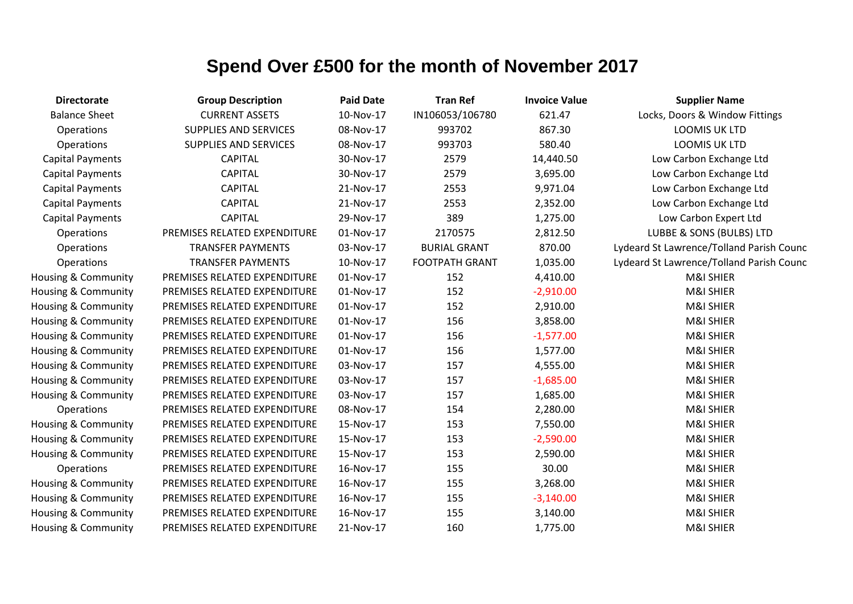| <b>Directorate</b>      | <b>Group Description</b>     | <b>Paid Date</b> | <b>Tran Ref</b>       | <b>Invoice Value</b> | <b>Supplier Name</b>                     |
|-------------------------|------------------------------|------------------|-----------------------|----------------------|------------------------------------------|
| <b>Balance Sheet</b>    | <b>CURRENT ASSETS</b>        | 10-Nov-17        | IN106053/106780       | 621.47               | Locks, Doors & Window Fittings           |
| Operations              | <b>SUPPLIES AND SERVICES</b> | 08-Nov-17        | 993702                | 867.30               | <b>LOOMIS UK LTD</b>                     |
| Operations              | <b>SUPPLIES AND SERVICES</b> | 08-Nov-17        | 993703                | 580.40               | <b>LOOMIS UK LTD</b>                     |
| <b>Capital Payments</b> | <b>CAPITAL</b>               | 30-Nov-17        | 2579                  | 14,440.50            | Low Carbon Exchange Ltd                  |
| <b>Capital Payments</b> | <b>CAPITAL</b>               | 30-Nov-17        | 2579                  | 3,695.00             | Low Carbon Exchange Ltd                  |
| <b>Capital Payments</b> | <b>CAPITAL</b>               | 21-Nov-17        | 2553                  | 9,971.04             | Low Carbon Exchange Ltd                  |
| <b>Capital Payments</b> | <b>CAPITAL</b>               | 21-Nov-17        | 2553                  | 2,352.00             | Low Carbon Exchange Ltd                  |
| <b>Capital Payments</b> | <b>CAPITAL</b>               | 29-Nov-17        | 389                   | 1,275.00             | Low Carbon Expert Ltd                    |
| Operations              | PREMISES RELATED EXPENDITURE | 01-Nov-17        | 2170575               | 2,812.50             | LUBBE & SONS (BULBS) LTD                 |
| Operations              | <b>TRANSFER PAYMENTS</b>     | 03-Nov-17        | <b>BURIAL GRANT</b>   | 870.00               | Lydeard St Lawrence/Tolland Parish Counc |
| Operations              | <b>TRANSFER PAYMENTS</b>     | 10-Nov-17        | <b>FOOTPATH GRANT</b> | 1,035.00             | Lydeard St Lawrence/Tolland Parish Counc |
| Housing & Community     | PREMISES RELATED EXPENDITURE | 01-Nov-17        | 152                   | 4,410.00             | <b>M&amp;I SHIER</b>                     |
| Housing & Community     | PREMISES RELATED EXPENDITURE | 01-Nov-17        | 152                   | $-2,910.00$          | <b>M&amp;I SHIER</b>                     |
| Housing & Community     | PREMISES RELATED EXPENDITURE | 01-Nov-17        | 152                   | 2,910.00             | M&I SHIER                                |
| Housing & Community     | PREMISES RELATED EXPENDITURE | 01-Nov-17        | 156                   | 3,858.00             | M&I SHIER                                |
| Housing & Community     | PREMISES RELATED EXPENDITURE | 01-Nov-17        | 156                   | $-1,577.00$          | <b>M&amp;I SHIER</b>                     |
| Housing & Community     | PREMISES RELATED EXPENDITURE | 01-Nov-17        | 156                   | 1,577.00             | <b>M&amp;I SHIER</b>                     |
| Housing & Community     | PREMISES RELATED EXPENDITURE | 03-Nov-17        | 157                   | 4,555.00             | <b>M&amp;I SHIER</b>                     |
| Housing & Community     | PREMISES RELATED EXPENDITURE | 03-Nov-17        | 157                   | $-1,685.00$          | M&I SHIER                                |
| Housing & Community     | PREMISES RELATED EXPENDITURE | 03-Nov-17        | 157                   | 1,685.00             | M&I SHIER                                |
| Operations              | PREMISES RELATED EXPENDITURE | 08-Nov-17        | 154                   | 2,280.00             | <b>M&amp;I SHIER</b>                     |
| Housing & Community     | PREMISES RELATED EXPENDITURE | 15-Nov-17        | 153                   | 7,550.00             | <b>M&amp;I SHIER</b>                     |
| Housing & Community     | PREMISES RELATED EXPENDITURE | 15-Nov-17        | 153                   | $-2,590.00$          | M&I SHIER                                |
| Housing & Community     | PREMISES RELATED EXPENDITURE | 15-Nov-17        | 153                   | 2,590.00             | M&I SHIER                                |
| Operations              | PREMISES RELATED EXPENDITURE | 16-Nov-17        | 155                   | 30.00                | <b>M&amp;I SHIER</b>                     |
| Housing & Community     | PREMISES RELATED EXPENDITURE | 16-Nov-17        | 155                   | 3,268.00             | <b>M&amp;I SHIER</b>                     |
| Housing & Community     | PREMISES RELATED EXPENDITURE | 16-Nov-17        | 155                   | $-3,140.00$          | M&I SHIER                                |
| Housing & Community     | PREMISES RELATED EXPENDITURE | 16-Nov-17        | 155                   | 3,140.00             | M&I SHIER                                |
| Housing & Community     | PREMISES RELATED EXPENDITURE | 21-Nov-17        | 160                   | 1,775.00             | M&I SHIER                                |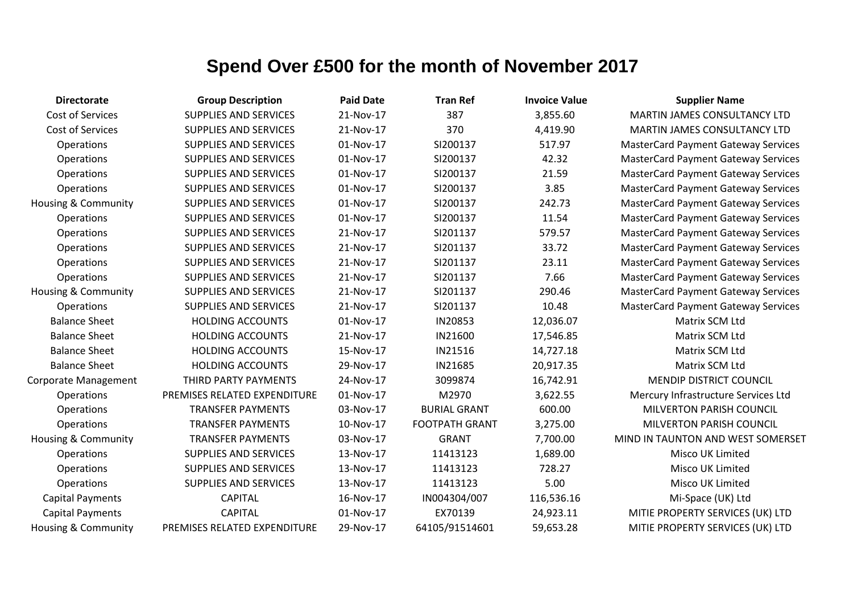| <b>Directorate</b>             | <b>Group Description</b>     | <b>Paid Date</b> | <b>Tran Ref</b>       | <b>Invoice Value</b> | <b>Supplier Name</b>                       |
|--------------------------------|------------------------------|------------------|-----------------------|----------------------|--------------------------------------------|
| Cost of Services               | <b>SUPPLIES AND SERVICES</b> | 21-Nov-17        | 387                   | 3,855.60             | MARTIN JAMES CONSULTANCY LTD               |
| Cost of Services               | <b>SUPPLIES AND SERVICES</b> | 21-Nov-17        | 370                   | 4,419.90             | MARTIN JAMES CONSULTANCY LTD               |
| Operations                     | <b>SUPPLIES AND SERVICES</b> | 01-Nov-17        | SI200137              | 517.97               | <b>MasterCard Payment Gateway Services</b> |
| Operations                     | <b>SUPPLIES AND SERVICES</b> | 01-Nov-17        | SI200137              | 42.32                | <b>MasterCard Payment Gateway Services</b> |
| Operations                     | <b>SUPPLIES AND SERVICES</b> | 01-Nov-17        | SI200137              | 21.59                | <b>MasterCard Payment Gateway Services</b> |
| Operations                     | <b>SUPPLIES AND SERVICES</b> | 01-Nov-17        | SI200137              | 3.85                 | <b>MasterCard Payment Gateway Services</b> |
| Housing & Community            | <b>SUPPLIES AND SERVICES</b> | 01-Nov-17        | SI200137              | 242.73               | <b>MasterCard Payment Gateway Services</b> |
| Operations                     | <b>SUPPLIES AND SERVICES</b> | 01-Nov-17        | SI200137              | 11.54                | <b>MasterCard Payment Gateway Services</b> |
| Operations                     | <b>SUPPLIES AND SERVICES</b> | 21-Nov-17        | SI201137              | 579.57               | <b>MasterCard Payment Gateway Services</b> |
| Operations                     | <b>SUPPLIES AND SERVICES</b> | 21-Nov-17        | SI201137              | 33.72                | <b>MasterCard Payment Gateway Services</b> |
| Operations                     | <b>SUPPLIES AND SERVICES</b> | 21-Nov-17        | SI201137              | 23.11                | <b>MasterCard Payment Gateway Services</b> |
| Operations                     | <b>SUPPLIES AND SERVICES</b> | 21-Nov-17        | SI201137              | 7.66                 | <b>MasterCard Payment Gateway Services</b> |
| Housing & Community            | <b>SUPPLIES AND SERVICES</b> | 21-Nov-17        | SI201137              | 290.46               | <b>MasterCard Payment Gateway Services</b> |
| <b>Operations</b>              | <b>SUPPLIES AND SERVICES</b> | 21-Nov-17        | SI201137              | 10.48                | <b>MasterCard Payment Gateway Services</b> |
| <b>Balance Sheet</b>           | <b>HOLDING ACCOUNTS</b>      | 01-Nov-17        | IN20853               | 12,036.07            | Matrix SCM Ltd                             |
| <b>Balance Sheet</b>           | <b>HOLDING ACCOUNTS</b>      | 21-Nov-17        | IN21600               | 17,546.85            | Matrix SCM Ltd                             |
| <b>Balance Sheet</b>           | <b>HOLDING ACCOUNTS</b>      | 15-Nov-17        | IN21516               | 14,727.18            | Matrix SCM Ltd                             |
| <b>Balance Sheet</b>           | <b>HOLDING ACCOUNTS</b>      | 29-Nov-17        | IN21685               | 20,917.35            | Matrix SCM Ltd                             |
| <b>Corporate Management</b>    | THIRD PARTY PAYMENTS         | 24-Nov-17        | 3099874               | 16,742.91            | <b>MENDIP DISTRICT COUNCIL</b>             |
| Operations                     | PREMISES RELATED EXPENDITURE | 01-Nov-17        | M2970                 | 3,622.55             | Mercury Infrastructure Services Ltd        |
| Operations                     | <b>TRANSFER PAYMENTS</b>     | 03-Nov-17        | <b>BURIAL GRANT</b>   | 600.00               | <b>MILVERTON PARISH COUNCIL</b>            |
| Operations                     | <b>TRANSFER PAYMENTS</b>     | 10-Nov-17        | <b>FOOTPATH GRANT</b> | 3,275.00             | <b>MILVERTON PARISH COUNCIL</b>            |
| Housing & Community            | <b>TRANSFER PAYMENTS</b>     | 03-Nov-17        | <b>GRANT</b>          | 7,700.00             | MIND IN TAUNTON AND WEST SOMERSET          |
| Operations                     | <b>SUPPLIES AND SERVICES</b> | 13-Nov-17        | 11413123              | 1,689.00             | Misco UK Limited                           |
| Operations                     | <b>SUPPLIES AND SERVICES</b> | 13-Nov-17        | 11413123              | 728.27               | Misco UK Limited                           |
| Operations                     | <b>SUPPLIES AND SERVICES</b> | 13-Nov-17        | 11413123              | 5.00                 | Misco UK Limited                           |
| <b>Capital Payments</b>        | <b>CAPITAL</b>               | 16-Nov-17        | IN004304/007          | 116,536.16           | Mi-Space (UK) Ltd                          |
| <b>Capital Payments</b>        | <b>CAPITAL</b>               | 01-Nov-17        | EX70139               | 24,923.11            | MITIE PROPERTY SERVICES (UK) LTD           |
| <b>Housing &amp; Community</b> | PREMISES RELATED EXPENDITURE | 29-Nov-17        | 64105/91514601        | 59,653.28            | MITIE PROPERTY SERVICES (UK) LTD           |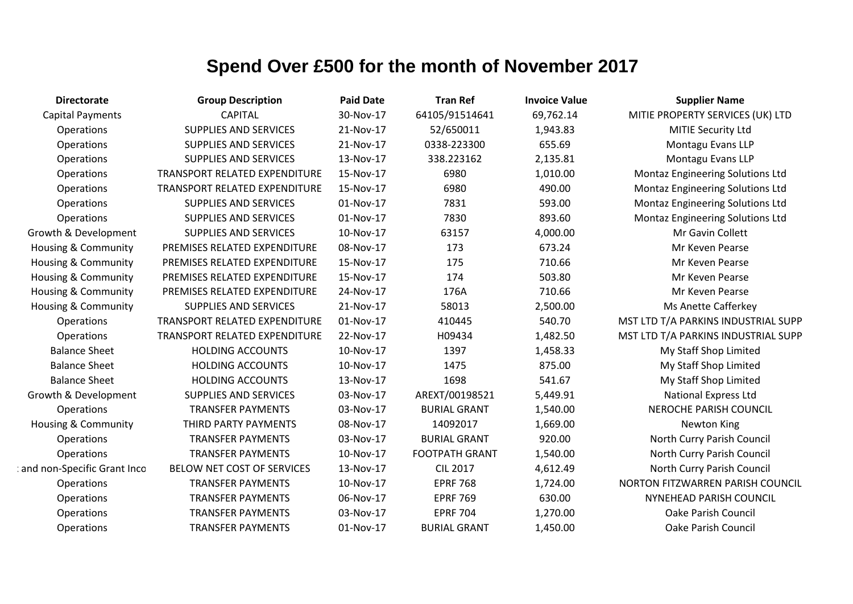| <b>Directorate</b>             | <b>Group Description</b>      | <b>Paid Date</b> | <b>Tran Ref</b>       | <b>Invoice Value</b> | <b>Supplier Name</b>                    |
|--------------------------------|-------------------------------|------------------|-----------------------|----------------------|-----------------------------------------|
| <b>Capital Payments</b>        | <b>CAPITAL</b>                | 30-Nov-17        | 64105/91514641        | 69,762.14            | MITIE PROPERTY SERVICES (UK) LTD        |
| Operations                     | <b>SUPPLIES AND SERVICES</b>  | 21-Nov-17        | 52/650011             | 1,943.83             | MITIE Security Ltd                      |
| Operations                     | <b>SUPPLIES AND SERVICES</b>  | 21-Nov-17        | 0338-223300           | 655.69               | Montagu Evans LLP                       |
| Operations                     | <b>SUPPLIES AND SERVICES</b>  | 13-Nov-17        | 338.223162            | 2,135.81             | Montagu Evans LLP                       |
| Operations                     | TRANSPORT RELATED EXPENDITURE | 15-Nov-17        | 6980                  | 1,010.00             | Montaz Engineering Solutions Ltd        |
| Operations                     | TRANSPORT RELATED EXPENDITURE | 15-Nov-17        | 6980                  | 490.00               | <b>Montaz Engineering Solutions Ltd</b> |
| Operations                     | <b>SUPPLIES AND SERVICES</b>  | 01-Nov-17        | 7831                  | 593.00               | Montaz Engineering Solutions Ltd        |
| Operations                     | <b>SUPPLIES AND SERVICES</b>  | 01-Nov-17        | 7830                  | 893.60               | Montaz Engineering Solutions Ltd        |
| Growth & Development           | <b>SUPPLIES AND SERVICES</b>  | 10-Nov-17        | 63157                 | 4,000.00             | Mr Gavin Collett                        |
| <b>Housing &amp; Community</b> | PREMISES RELATED EXPENDITURE  | 08-Nov-17        | 173                   | 673.24               | Mr Keven Pearse                         |
| <b>Housing &amp; Community</b> | PREMISES RELATED EXPENDITURE  | 15-Nov-17        | 175                   | 710.66               | Mr Keven Pearse                         |
| Housing & Community            | PREMISES RELATED EXPENDITURE  | 15-Nov-17        | 174                   | 503.80               | Mr Keven Pearse                         |
| <b>Housing &amp; Community</b> | PREMISES RELATED EXPENDITURE  | 24-Nov-17        | 176A                  | 710.66               | Mr Keven Pearse                         |
| Housing & Community            | <b>SUPPLIES AND SERVICES</b>  | 21-Nov-17        | 58013                 | 2,500.00             | Ms Anette Cafferkey                     |
| Operations                     | TRANSPORT RELATED EXPENDITURE | 01-Nov-17        | 410445                | 540.70               | MST LTD T/A PARKINS INDUSTRIAL SUPP     |
| Operations                     | TRANSPORT RELATED EXPENDITURE | 22-Nov-17        | H09434                | 1,482.50             | MST LTD T/A PARKINS INDUSTRIAL SUPP     |
| <b>Balance Sheet</b>           | <b>HOLDING ACCOUNTS</b>       | 10-Nov-17        | 1397                  | 1,458.33             | My Staff Shop Limited                   |
| <b>Balance Sheet</b>           | <b>HOLDING ACCOUNTS</b>       | 10-Nov-17        | 1475                  | 875.00               | My Staff Shop Limited                   |
| <b>Balance Sheet</b>           | <b>HOLDING ACCOUNTS</b>       | 13-Nov-17        | 1698                  | 541.67               | My Staff Shop Limited                   |
| Growth & Development           | <b>SUPPLIES AND SERVICES</b>  | 03-Nov-17        | AREXT/00198521        | 5,449.91             | <b>National Express Ltd</b>             |
| Operations                     | <b>TRANSFER PAYMENTS</b>      | 03-Nov-17        | <b>BURIAL GRANT</b>   | 1,540.00             | <b>NEROCHE PARISH COUNCIL</b>           |
| <b>Housing &amp; Community</b> | THIRD PARTY PAYMENTS          | 08-Nov-17        | 14092017              | 1,669.00             | Newton King                             |
| Operations                     | <b>TRANSFER PAYMENTS</b>      | 03-Nov-17        | <b>BURIAL GRANT</b>   | 920.00               | North Curry Parish Council              |
| Operations                     | <b>TRANSFER PAYMENTS</b>      | 10-Nov-17        | <b>FOOTPATH GRANT</b> | 1,540.00             | North Curry Parish Council              |
| and non-Specific Grant Inco    | BELOW NET COST OF SERVICES    | 13-Nov-17        | <b>CIL 2017</b>       | 4,612.49             | North Curry Parish Council              |
| Operations                     | <b>TRANSFER PAYMENTS</b>      | 10-Nov-17        | <b>EPRF 768</b>       | 1,724.00             | NORTON FITZWARREN PARISH COUNCIL        |
| Operations                     | <b>TRANSFER PAYMENTS</b>      | 06-Nov-17        | <b>EPRF 769</b>       | 630.00               | NYNEHEAD PARISH COUNCIL                 |
| Operations                     | <b>TRANSFER PAYMENTS</b>      | 03-Nov-17        | <b>EPRF 704</b>       | 1,270.00             | <b>Oake Parish Council</b>              |
| Operations                     | <b>TRANSFER PAYMENTS</b>      | 01-Nov-17        | <b>BURIAL GRANT</b>   | 1,450.00             | <b>Oake Parish Council</b>              |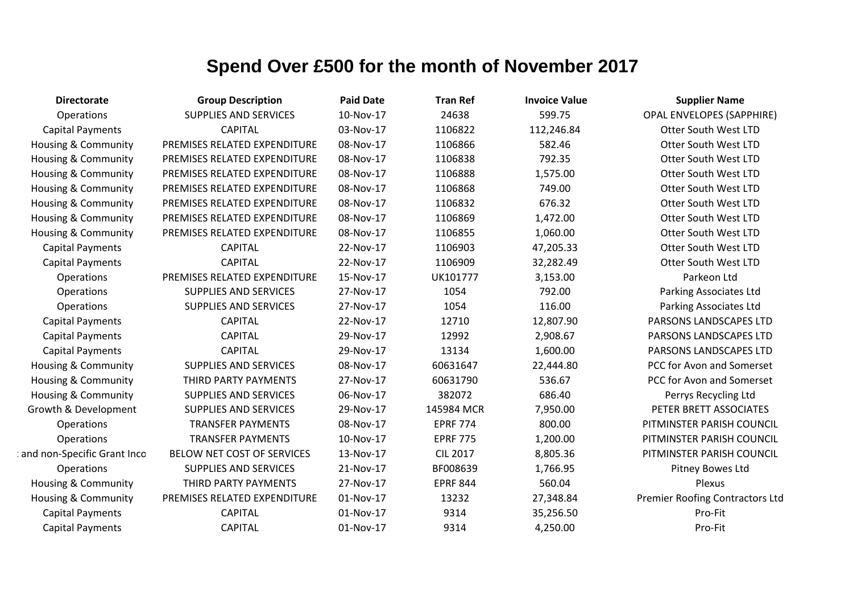| <b>Directorate</b>             | <b>Group Description</b>     | <b>Paid Date</b> | <b>Tran Ref</b> | <b>Invoice Value</b> | <b>Supplier Name</b>             |
|--------------------------------|------------------------------|------------------|-----------------|----------------------|----------------------------------|
| Operations                     | <b>SUPPLIES AND SERVICES</b> | 10-Nov-17        | 24638           | 599.75               | <b>OPAL ENVELOPES (SAPPHIRE)</b> |
| <b>Capital Payments</b>        | <b>CAPITAL</b>               | 03-Nov-17        | 1106822         | 112,246.84           | <b>Otter South West LTD</b>      |
| Housing & Community            | PREMISES RELATED EXPENDITURE | 08-Nov-17        | 1106866         | 582.46               | <b>Otter South West LTD</b>      |
| <b>Housing &amp; Community</b> | PREMISES RELATED EXPENDITURE | 08-Nov-17        | 1106838         | 792.35               | <b>Otter South West LTD</b>      |
| <b>Housing &amp; Community</b> | PREMISES RELATED EXPENDITURE | 08-Nov-17        | 1106888         | 1,575.00             | <b>Otter South West LTD</b>      |
| <b>Housing &amp; Community</b> | PREMISES RELATED EXPENDITURE | 08-Nov-17        | 1106868         | 749.00               | <b>Otter South West LTD</b>      |
| Housing & Community            | PREMISES RELATED EXPENDITURE | 08-Nov-17        | 1106832         | 676.32               | <b>Otter South West LTD</b>      |
| <b>Housing &amp; Community</b> | PREMISES RELATED EXPENDITURE | 08-Nov-17        | 1106869         | 1,472.00             | <b>Otter South West LTD</b>      |
| <b>Housing &amp; Community</b> | PREMISES RELATED EXPENDITURE | 08-Nov-17        | 1106855         | 1,060.00             | <b>Otter South West LTD</b>      |
| <b>Capital Payments</b>        | <b>CAPITAL</b>               | 22-Nov-17        | 1106903         | 47,205.33            | <b>Otter South West LTD</b>      |
| <b>Capital Payments</b>        | <b>CAPITAL</b>               | 22-Nov-17        | 1106909         | 32,282.49            | Otter South West LTD             |
| Operations                     | PREMISES RELATED EXPENDITURE | 15-Nov-17        | UK101777        | 3,153.00             | Parkeon Ltd                      |
| Operations                     | <b>SUPPLIES AND SERVICES</b> | 27-Nov-17        | 1054            | 792.00               | Parking Associates Ltd           |
| Operations                     | <b>SUPPLIES AND SERVICES</b> | 27-Nov-17        | 1054            | 116.00               | Parking Associates Ltd           |
| <b>Capital Payments</b>        | <b>CAPITAL</b>               | 22-Nov-17        | 12710           | 12,807.90            | PARSONS LANDSCAPES LTD           |
| <b>Capital Payments</b>        | <b>CAPITAL</b>               | 29-Nov-17        | 12992           | 2,908.67             | PARSONS LANDSCAPES LTD           |
| <b>Capital Payments</b>        | <b>CAPITAL</b>               | 29-Nov-17        | 13134           | 1,600.00             | PARSONS LANDSCAPES LTD           |
| <b>Housing &amp; Community</b> | <b>SUPPLIES AND SERVICES</b> | 08-Nov-17        | 60631647        | 22,444.80            | PCC for Avon and Somerset        |
| Housing & Community            | THIRD PARTY PAYMENTS         | 27-Nov-17        | 60631790        | 536.67               | PCC for Avon and Somerset        |
| Housing & Community            | <b>SUPPLIES AND SERVICES</b> | 06-Nov-17        | 382072          | 686.40               | Perrys Recycling Ltd             |
| Growth & Development           | <b>SUPPLIES AND SERVICES</b> | 29-Nov-17        | 145984 MCR      | 7,950.00             | PETER BRETT ASSOCIATES           |
| Operations                     | <b>TRANSFER PAYMENTS</b>     | 08-Nov-17        | <b>EPRF 774</b> | 800.00               | PITMINSTER PARISH COUNCIL        |
| Operations                     | <b>TRANSFER PAYMENTS</b>     | 10-Nov-17        | <b>EPRF 775</b> | 1,200.00             | PITMINSTER PARISH COUNCIL        |
| and non-Specific Grant Inco    | BELOW NET COST OF SERVICES   | 13-Nov-17        | <b>CIL 2017</b> | 8,805.36             | PITMINSTER PARISH COUNCIL        |
| Operations                     | <b>SUPPLIES AND SERVICES</b> | 21-Nov-17        | BF008639        | 1,766.95             | Pitney Bowes Ltd                 |
| Housing & Community            | THIRD PARTY PAYMENTS         | 27-Nov-17        | <b>EPRF 844</b> | 560.04               | Plexus                           |
| Housing & Community            | PREMISES RELATED EXPENDITURE | 01-Nov-17        | 13232           | 27,348.84            | Premier Roofing Contractors Ltd  |
| <b>Capital Payments</b>        | <b>CAPITAL</b>               | 01-Nov-17        | 9314            | 35,256.50            | Pro-Fit                          |
| <b>Capital Payments</b>        | <b>CAPITAL</b>               | 01-Nov-17        | 9314            | 4,250.00             | Pro-Fit                          |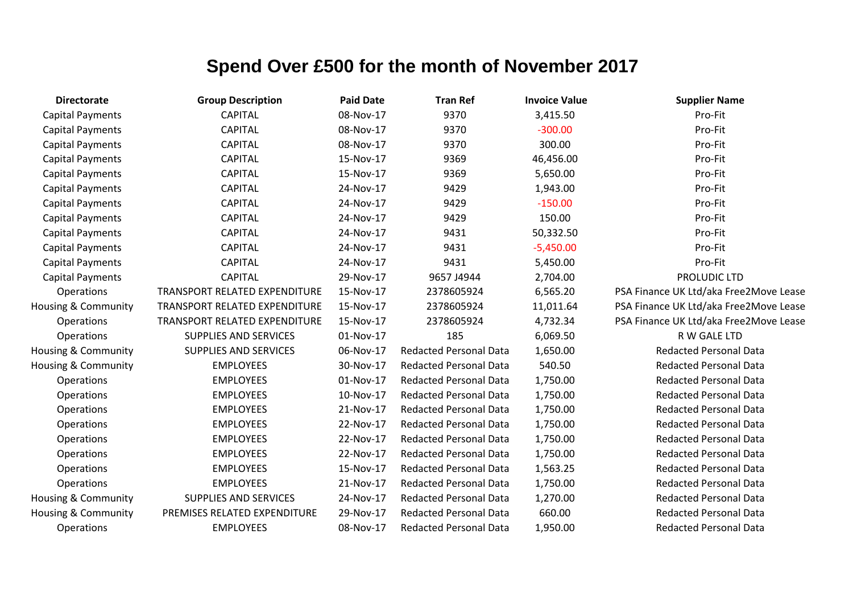| <b>Directorate</b>             | <b>Group Description</b>             | <b>Paid Date</b> | <b>Tran Ref</b>               | <b>Invoice Value</b> | <b>Supplier Name</b>                   |
|--------------------------------|--------------------------------------|------------------|-------------------------------|----------------------|----------------------------------------|
| <b>Capital Payments</b>        | <b>CAPITAL</b>                       | 08-Nov-17        | 9370                          | 3,415.50             | Pro-Fit                                |
| <b>Capital Payments</b>        | <b>CAPITAL</b>                       | 08-Nov-17        | 9370                          | $-300.00$            | Pro-Fit                                |
| <b>Capital Payments</b>        | <b>CAPITAL</b>                       | 08-Nov-17        | 9370                          | 300.00               | Pro-Fit                                |
| <b>Capital Payments</b>        | <b>CAPITAL</b>                       | 15-Nov-17        | 9369                          | 46,456.00            | Pro-Fit                                |
| <b>Capital Payments</b>        | <b>CAPITAL</b>                       | 15-Nov-17        | 9369                          | 5,650.00             | Pro-Fit                                |
| <b>Capital Payments</b>        | <b>CAPITAL</b>                       | 24-Nov-17        | 9429                          | 1,943.00             | Pro-Fit                                |
| <b>Capital Payments</b>        | <b>CAPITAL</b>                       | 24-Nov-17        | 9429                          | $-150.00$            | Pro-Fit                                |
| <b>Capital Payments</b>        | <b>CAPITAL</b>                       | 24-Nov-17        | 9429                          | 150.00               | Pro-Fit                                |
| <b>Capital Payments</b>        | <b>CAPITAL</b>                       | 24-Nov-17        | 9431                          | 50,332.50            | Pro-Fit                                |
| <b>Capital Payments</b>        | <b>CAPITAL</b>                       | 24-Nov-17        | 9431                          | $-5,450.00$          | Pro-Fit                                |
| <b>Capital Payments</b>        | <b>CAPITAL</b>                       | 24-Nov-17        | 9431                          | 5,450.00             | Pro-Fit                                |
| <b>Capital Payments</b>        | <b>CAPITAL</b>                       | 29-Nov-17        | 9657 J4944                    | 2,704.00             | PROLUDIC LTD                           |
| Operations                     | <b>TRANSPORT RELATED EXPENDITURE</b> | 15-Nov-17        | 2378605924                    | 6,565.20             | PSA Finance UK Ltd/aka Free2Move Lease |
| Housing & Community            | TRANSPORT RELATED EXPENDITURE        | 15-Nov-17        | 2378605924                    | 11,011.64            | PSA Finance UK Ltd/aka Free2Move Lease |
| Operations                     | TRANSPORT RELATED EXPENDITURE        | 15-Nov-17        | 2378605924                    | 4,732.34             | PSA Finance UK Ltd/aka Free2Move Lease |
| Operations                     | <b>SUPPLIES AND SERVICES</b>         | 01-Nov-17        | 185                           | 6,069.50             | R W GALE LTD                           |
| <b>Housing &amp; Community</b> | <b>SUPPLIES AND SERVICES</b>         | 06-Nov-17        | <b>Redacted Personal Data</b> | 1,650.00             | <b>Redacted Personal Data</b>          |
| <b>Housing &amp; Community</b> | <b>EMPLOYEES</b>                     | 30-Nov-17        | <b>Redacted Personal Data</b> | 540.50               | <b>Redacted Personal Data</b>          |
| Operations                     | <b>EMPLOYEES</b>                     | 01-Nov-17        | <b>Redacted Personal Data</b> | 1,750.00             | <b>Redacted Personal Data</b>          |
| Operations                     | <b>EMPLOYEES</b>                     | 10-Nov-17        | <b>Redacted Personal Data</b> | 1,750.00             | <b>Redacted Personal Data</b>          |
| Operations                     | <b>EMPLOYEES</b>                     | 21-Nov-17        | <b>Redacted Personal Data</b> | 1,750.00             | <b>Redacted Personal Data</b>          |
| Operations                     | <b>EMPLOYEES</b>                     | 22-Nov-17        | <b>Redacted Personal Data</b> | 1,750.00             | <b>Redacted Personal Data</b>          |
| Operations                     | <b>EMPLOYEES</b>                     | 22-Nov-17        | <b>Redacted Personal Data</b> | 1,750.00             | <b>Redacted Personal Data</b>          |
| Operations                     | <b>EMPLOYEES</b>                     | 22-Nov-17        | <b>Redacted Personal Data</b> | 1,750.00             | <b>Redacted Personal Data</b>          |
| Operations                     | <b>EMPLOYEES</b>                     | 15-Nov-17        | <b>Redacted Personal Data</b> | 1,563.25             | <b>Redacted Personal Data</b>          |
| Operations                     | <b>EMPLOYEES</b>                     | 21-Nov-17        | <b>Redacted Personal Data</b> | 1,750.00             | <b>Redacted Personal Data</b>          |
| Housing & Community            | <b>SUPPLIES AND SERVICES</b>         | 24-Nov-17        | <b>Redacted Personal Data</b> | 1,270.00             | <b>Redacted Personal Data</b>          |
| Housing & Community            | PREMISES RELATED EXPENDITURE         | 29-Nov-17        | <b>Redacted Personal Data</b> | 660.00               | <b>Redacted Personal Data</b>          |
| Operations                     | <b>EMPLOYEES</b>                     | 08-Nov-17        | <b>Redacted Personal Data</b> | 1,950.00             | <b>Redacted Personal Data</b>          |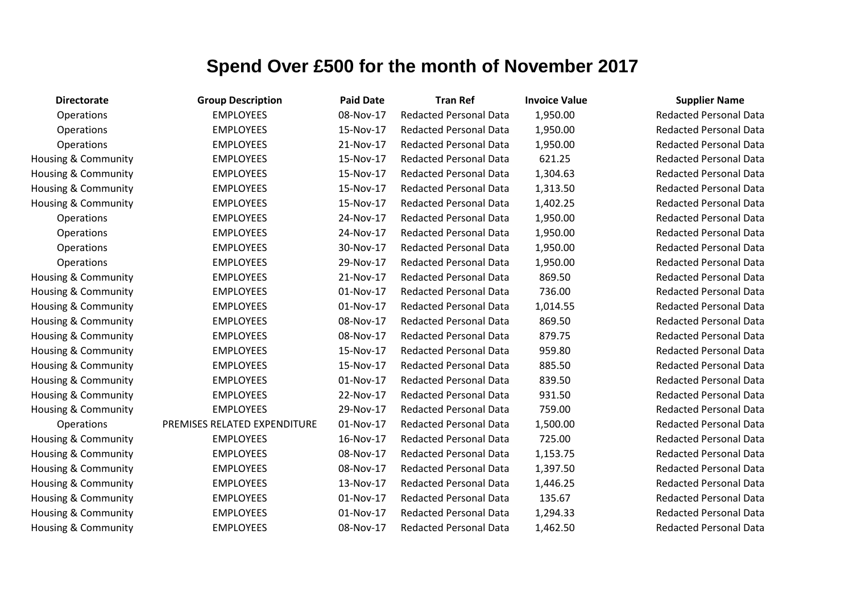| <b>Directorate</b>             | <b>Group Description</b>     | <b>Paid Date</b> | <b>Tran Ref</b>               | <b>Invoice Value</b> | <b>Supplier Name</b>          |
|--------------------------------|------------------------------|------------------|-------------------------------|----------------------|-------------------------------|
| Operations                     | <b>EMPLOYEES</b>             | 08-Nov-17        | Redacted Personal Data        | 1,950.00             | <b>Redacted Personal Data</b> |
| Operations                     | <b>EMPLOYEES</b>             | 15-Nov-17        | <b>Redacted Personal Data</b> | 1,950.00             | <b>Redacted Personal Data</b> |
| Operations                     | <b>EMPLOYEES</b>             | 21-Nov-17        | Redacted Personal Data        | 1,950.00             | <b>Redacted Personal Data</b> |
| Housing & Community            | <b>EMPLOYEES</b>             | 15-Nov-17        | <b>Redacted Personal Data</b> | 621.25               | <b>Redacted Personal Data</b> |
| Housing & Community            | <b>EMPLOYEES</b>             | 15-Nov-17        | <b>Redacted Personal Data</b> | 1,304.63             | <b>Redacted Personal Data</b> |
| <b>Housing &amp; Community</b> | <b>EMPLOYEES</b>             | 15-Nov-17        | <b>Redacted Personal Data</b> | 1,313.50             | <b>Redacted Personal Data</b> |
| Housing & Community            | <b>EMPLOYEES</b>             | 15-Nov-17        | <b>Redacted Personal Data</b> | 1,402.25             | <b>Redacted Personal Data</b> |
| Operations                     | <b>EMPLOYEES</b>             | 24-Nov-17        | <b>Redacted Personal Data</b> | 1,950.00             | <b>Redacted Personal Data</b> |
| Operations                     | <b>EMPLOYEES</b>             | 24-Nov-17        | Redacted Personal Data        | 1,950.00             | <b>Redacted Personal Data</b> |
| Operations                     | <b>EMPLOYEES</b>             | 30-Nov-17        | <b>Redacted Personal Data</b> | 1,950.00             | <b>Redacted Personal Data</b> |
| Operations                     | <b>EMPLOYEES</b>             | 29-Nov-17        | <b>Redacted Personal Data</b> | 1,950.00             | <b>Redacted Personal Data</b> |
| Housing & Community            | <b>EMPLOYEES</b>             | 21-Nov-17        | <b>Redacted Personal Data</b> | 869.50               | <b>Redacted Personal Data</b> |
| <b>Housing &amp; Community</b> | <b>EMPLOYEES</b>             | 01-Nov-17        | <b>Redacted Personal Data</b> | 736.00               | <b>Redacted Personal Data</b> |
| <b>Housing &amp; Community</b> | <b>EMPLOYEES</b>             | 01-Nov-17        | <b>Redacted Personal Data</b> | 1,014.55             | <b>Redacted Personal Data</b> |
| Housing & Community            | <b>EMPLOYEES</b>             | 08-Nov-17        | <b>Redacted Personal Data</b> | 869.50               | <b>Redacted Personal Data</b> |
| Housing & Community            | <b>EMPLOYEES</b>             | 08-Nov-17        | <b>Redacted Personal Data</b> | 879.75               | <b>Redacted Personal Data</b> |
| Housing & Community            | <b>EMPLOYEES</b>             | 15-Nov-17        | <b>Redacted Personal Data</b> | 959.80               | <b>Redacted Personal Data</b> |
| Housing & Community            | <b>EMPLOYEES</b>             | 15-Nov-17        | <b>Redacted Personal Data</b> | 885.50               | <b>Redacted Personal Data</b> |
| Housing & Community            | <b>EMPLOYEES</b>             | 01-Nov-17        | <b>Redacted Personal Data</b> | 839.50               | <b>Redacted Personal Data</b> |
| Housing & Community            | <b>EMPLOYEES</b>             | 22-Nov-17        | <b>Redacted Personal Data</b> | 931.50               | <b>Redacted Personal Data</b> |
| Housing & Community            | <b>EMPLOYEES</b>             | 29-Nov-17        | <b>Redacted Personal Data</b> | 759.00               | <b>Redacted Personal Data</b> |
| Operations                     | PREMISES RELATED EXPENDITURE | 01-Nov-17        | <b>Redacted Personal Data</b> | 1,500.00             | <b>Redacted Personal Data</b> |
| Housing & Community            | <b>EMPLOYEES</b>             | 16-Nov-17        | <b>Redacted Personal Data</b> | 725.00               | <b>Redacted Personal Data</b> |
| Housing & Community            | <b>EMPLOYEES</b>             | 08-Nov-17        | <b>Redacted Personal Data</b> | 1,153.75             | <b>Redacted Personal Data</b> |
| Housing & Community            | <b>EMPLOYEES</b>             | 08-Nov-17        | <b>Redacted Personal Data</b> | 1,397.50             | <b>Redacted Personal Data</b> |
| Housing & Community            | <b>EMPLOYEES</b>             | 13-Nov-17        | <b>Redacted Personal Data</b> | 1,446.25             | <b>Redacted Personal Data</b> |
| Housing & Community            | <b>EMPLOYEES</b>             | 01-Nov-17        | Redacted Personal Data        | 135.67               | <b>Redacted Personal Data</b> |
| Housing & Community            | <b>EMPLOYEES</b>             | 01-Nov-17        | <b>Redacted Personal Data</b> | 1,294.33             | <b>Redacted Personal Data</b> |
| Housing & Community            | <b>EMPLOYEES</b>             | 08-Nov-17        | <b>Redacted Personal Data</b> | 1,462.50             | <b>Redacted Personal Data</b> |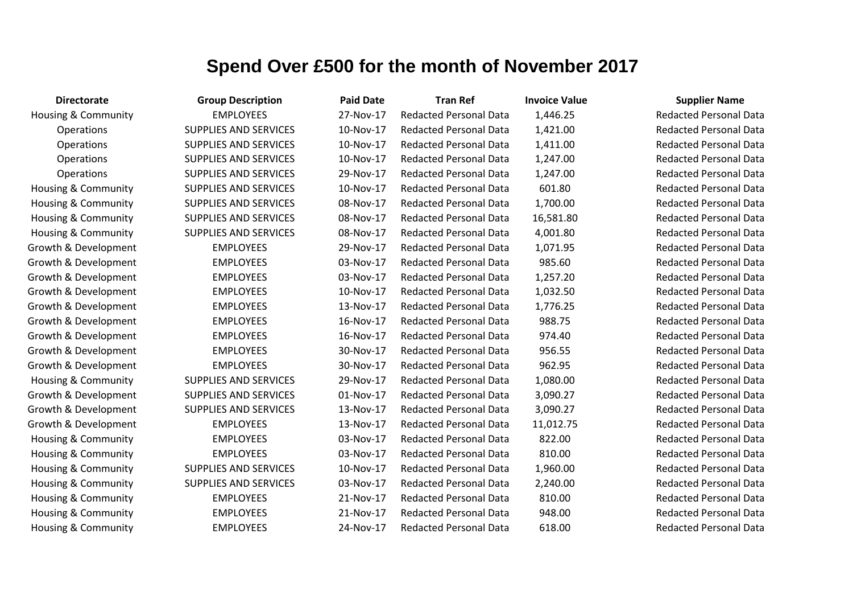| <b>Directorate</b>             | <b>Group Description</b>     | <b>Paid Date</b> | <b>Tran Ref</b>               | <b>Invoice Value</b> | <b>Supplier Name</b>          |
|--------------------------------|------------------------------|------------------|-------------------------------|----------------------|-------------------------------|
| <b>Housing &amp; Community</b> | <b>EMPLOYEES</b>             | 27-Nov-17        | <b>Redacted Personal Data</b> | 1,446.25             | <b>Redacted Personal Data</b> |
| <b>Operations</b>              | <b>SUPPLIES AND SERVICES</b> | 10-Nov-17        | <b>Redacted Personal Data</b> | 1,421.00             | <b>Redacted Personal Data</b> |
| Operations                     | <b>SUPPLIES AND SERVICES</b> | 10-Nov-17        | <b>Redacted Personal Data</b> | 1,411.00             | <b>Redacted Personal Data</b> |
| Operations                     | <b>SUPPLIES AND SERVICES</b> | 10-Nov-17        | <b>Redacted Personal Data</b> | 1,247.00             | <b>Redacted Personal Data</b> |
| Operations                     | <b>SUPPLIES AND SERVICES</b> | 29-Nov-17        | <b>Redacted Personal Data</b> | 1,247.00             | <b>Redacted Personal Data</b> |
| Housing & Community            | <b>SUPPLIES AND SERVICES</b> | 10-Nov-17        | <b>Redacted Personal Data</b> | 601.80               | <b>Redacted Personal Data</b> |
| Housing & Community            | <b>SUPPLIES AND SERVICES</b> | 08-Nov-17        | <b>Redacted Personal Data</b> | 1,700.00             | <b>Redacted Personal Data</b> |
| Housing & Community            | <b>SUPPLIES AND SERVICES</b> | 08-Nov-17        | <b>Redacted Personal Data</b> | 16,581.80            | <b>Redacted Personal Data</b> |
| Housing & Community            | <b>SUPPLIES AND SERVICES</b> | 08-Nov-17        | <b>Redacted Personal Data</b> | 4,001.80             | <b>Redacted Personal Data</b> |
| Growth & Development           | <b>EMPLOYEES</b>             | 29-Nov-17        | <b>Redacted Personal Data</b> | 1,071.95             | <b>Redacted Personal Data</b> |
| Growth & Development           | <b>EMPLOYEES</b>             | 03-Nov-17        | <b>Redacted Personal Data</b> | 985.60               | <b>Redacted Personal Data</b> |
| Growth & Development           | <b>EMPLOYEES</b>             | 03-Nov-17        | <b>Redacted Personal Data</b> | 1,257.20             | <b>Redacted Personal Data</b> |
| Growth & Development           | <b>EMPLOYEES</b>             | 10-Nov-17        | <b>Redacted Personal Data</b> | 1,032.50             | <b>Redacted Personal Data</b> |
| Growth & Development           | <b>EMPLOYEES</b>             | 13-Nov-17        | <b>Redacted Personal Data</b> | 1,776.25             | <b>Redacted Personal Data</b> |
| Growth & Development           | <b>EMPLOYEES</b>             | 16-Nov-17        | <b>Redacted Personal Data</b> | 988.75               | <b>Redacted Personal Data</b> |
| Growth & Development           | <b>EMPLOYEES</b>             | 16-Nov-17        | <b>Redacted Personal Data</b> | 974.40               | <b>Redacted Personal Data</b> |
| Growth & Development           | <b>EMPLOYEES</b>             | 30-Nov-17        | <b>Redacted Personal Data</b> | 956.55               | <b>Redacted Personal Data</b> |
| Growth & Development           | <b>EMPLOYEES</b>             | 30-Nov-17        | <b>Redacted Personal Data</b> | 962.95               | <b>Redacted Personal Data</b> |
| Housing & Community            | <b>SUPPLIES AND SERVICES</b> | 29-Nov-17        | <b>Redacted Personal Data</b> | 1,080.00             | <b>Redacted Personal Data</b> |
| Growth & Development           | <b>SUPPLIES AND SERVICES</b> | 01-Nov-17        | <b>Redacted Personal Data</b> | 3,090.27             | <b>Redacted Personal Data</b> |
| Growth & Development           | <b>SUPPLIES AND SERVICES</b> | 13-Nov-17        | <b>Redacted Personal Data</b> | 3,090.27             | <b>Redacted Personal Data</b> |
| Growth & Development           | <b>EMPLOYEES</b>             | 13-Nov-17        | <b>Redacted Personal Data</b> | 11,012.75            | <b>Redacted Personal Data</b> |
| Housing & Community            | <b>EMPLOYEES</b>             | 03-Nov-17        | <b>Redacted Personal Data</b> | 822.00               | <b>Redacted Personal Data</b> |
| Housing & Community            | <b>EMPLOYEES</b>             | 03-Nov-17        | <b>Redacted Personal Data</b> | 810.00               | <b>Redacted Personal Data</b> |
| <b>Housing &amp; Community</b> | <b>SUPPLIES AND SERVICES</b> | 10-Nov-17        | <b>Redacted Personal Data</b> | 1,960.00             | <b>Redacted Personal Data</b> |
| Housing & Community            | SUPPLIES AND SERVICES        | 03-Nov-17        | <b>Redacted Personal Data</b> | 2,240.00             | <b>Redacted Personal Data</b> |
| Housing & Community            | <b>EMPLOYEES</b>             | 21-Nov-17        | <b>Redacted Personal Data</b> | 810.00               | <b>Redacted Personal Data</b> |
| Housing & Community            | <b>EMPLOYEES</b>             | 21-Nov-17        | <b>Redacted Personal Data</b> | 948.00               | <b>Redacted Personal Data</b> |
| Housing & Community            | <b>EMPLOYEES</b>             | 24-Nov-17        | <b>Redacted Personal Data</b> | 618.00               | <b>Redacted Personal Data</b> |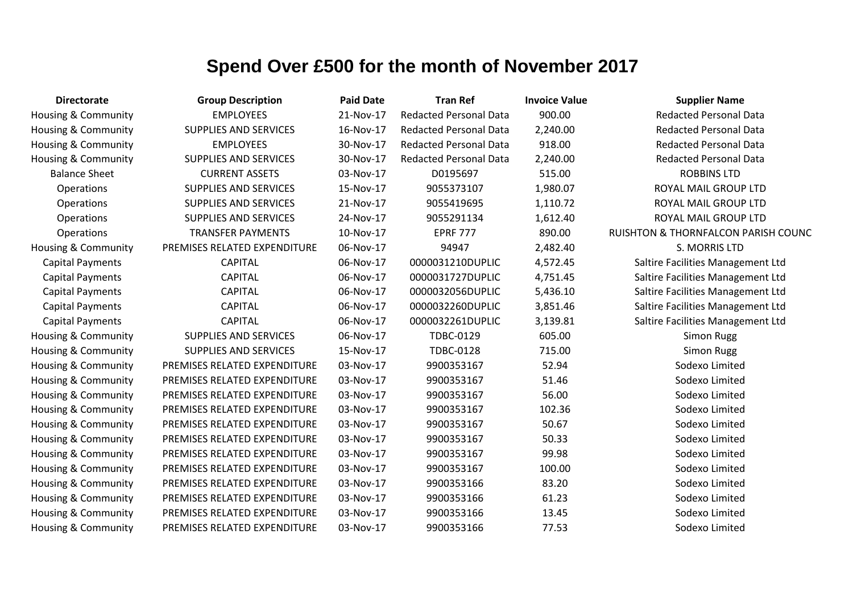| <b>Directorate</b>             | <b>Group Description</b>     | <b>Paid Date</b> | <b>Tran Ref</b>               | <b>Invoice Value</b> | <b>Supplier Name</b>                           |
|--------------------------------|------------------------------|------------------|-------------------------------|----------------------|------------------------------------------------|
| Housing & Community            | <b>EMPLOYEES</b>             | 21-Nov-17        | <b>Redacted Personal Data</b> | 900.00               | <b>Redacted Personal Data</b>                  |
| Housing & Community            | <b>SUPPLIES AND SERVICES</b> | 16-Nov-17        | <b>Redacted Personal Data</b> | 2,240.00             | <b>Redacted Personal Data</b>                  |
| Housing & Community            | <b>EMPLOYEES</b>             | 30-Nov-17        | <b>Redacted Personal Data</b> | 918.00               | <b>Redacted Personal Data</b>                  |
| <b>Housing &amp; Community</b> | <b>SUPPLIES AND SERVICES</b> | 30-Nov-17        | <b>Redacted Personal Data</b> | 2,240.00             | <b>Redacted Personal Data</b>                  |
| <b>Balance Sheet</b>           | <b>CURRENT ASSETS</b>        | 03-Nov-17        | D0195697                      | 515.00               | <b>ROBBINS LTD</b>                             |
| Operations                     | <b>SUPPLIES AND SERVICES</b> | 15-Nov-17        | 9055373107                    | 1,980.07             | ROYAL MAIL GROUP LTD                           |
| Operations                     | <b>SUPPLIES AND SERVICES</b> | 21-Nov-17        | 9055419695                    | 1,110.72             | ROYAL MAIL GROUP LTD                           |
| Operations                     | <b>SUPPLIES AND SERVICES</b> | 24-Nov-17        | 9055291134                    | 1,612.40             | ROYAL MAIL GROUP LTD                           |
| Operations                     | <b>TRANSFER PAYMENTS</b>     | 10-Nov-17        | <b>EPRF 777</b>               | 890.00               | <b>RUISHTON &amp; THORNFALCON PARISH COUNC</b> |
| <b>Housing &amp; Community</b> | PREMISES RELATED EXPENDITURE | 06-Nov-17        | 94947                         | 2,482.40             | S. MORRIS LTD                                  |
| <b>Capital Payments</b>        | <b>CAPITAL</b>               | 06-Nov-17        | 0000031210DUPLIC              | 4,572.45             | Saltire Facilities Management Ltd              |
| <b>Capital Payments</b>        | <b>CAPITAL</b>               | 06-Nov-17        | 0000031727DUPLIC              | 4,751.45             | Saltire Facilities Management Ltd              |
| <b>Capital Payments</b>        | <b>CAPITAL</b>               | 06-Nov-17        | 0000032056DUPLIC              | 5,436.10             | Saltire Facilities Management Ltd              |
| <b>Capital Payments</b>        | <b>CAPITAL</b>               | 06-Nov-17        | 0000032260DUPLIC              | 3,851.46             | Saltire Facilities Management Ltd              |
| <b>Capital Payments</b>        | <b>CAPITAL</b>               | 06-Nov-17        | 0000032261DUPLIC              | 3,139.81             | Saltire Facilities Management Ltd              |
| Housing & Community            | <b>SUPPLIES AND SERVICES</b> | 06-Nov-17        | TDBC-0129                     | 605.00               | <b>Simon Rugg</b>                              |
| Housing & Community            | <b>SUPPLIES AND SERVICES</b> | 15-Nov-17        | <b>TDBC-0128</b>              | 715.00               | <b>Simon Rugg</b>                              |
| <b>Housing &amp; Community</b> | PREMISES RELATED EXPENDITURE | 03-Nov-17        | 9900353167                    | 52.94                | Sodexo Limited                                 |
| Housing & Community            | PREMISES RELATED EXPENDITURE | 03-Nov-17        | 9900353167                    | 51.46                | Sodexo Limited                                 |
| Housing & Community            | PREMISES RELATED EXPENDITURE | 03-Nov-17        | 9900353167                    | 56.00                | Sodexo Limited                                 |
| <b>Housing &amp; Community</b> | PREMISES RELATED EXPENDITURE | 03-Nov-17        | 9900353167                    | 102.36               | Sodexo Limited                                 |
| <b>Housing &amp; Community</b> | PREMISES RELATED EXPENDITURE | 03-Nov-17        | 9900353167                    | 50.67                | Sodexo Limited                                 |
| Housing & Community            | PREMISES RELATED EXPENDITURE | 03-Nov-17        | 9900353167                    | 50.33                | Sodexo Limited                                 |
| <b>Housing &amp; Community</b> | PREMISES RELATED EXPENDITURE | 03-Nov-17        | 9900353167                    | 99.98                | Sodexo Limited                                 |
| Housing & Community            | PREMISES RELATED EXPENDITURE | 03-Nov-17        | 9900353167                    | 100.00               | Sodexo Limited                                 |
| <b>Housing &amp; Community</b> | PREMISES RELATED EXPENDITURE | 03-Nov-17        | 9900353166                    | 83.20                | Sodexo Limited                                 |
| Housing & Community            | PREMISES RELATED EXPENDITURE | 03-Nov-17        | 9900353166                    | 61.23                | Sodexo Limited                                 |
| <b>Housing &amp; Community</b> | PREMISES RELATED EXPENDITURE | 03-Nov-17        | 9900353166                    | 13.45                | Sodexo Limited                                 |
| <b>Housing &amp; Community</b> | PREMISES RELATED EXPENDITURE | 03-Nov-17        | 9900353166                    | 77.53                | Sodexo Limited                                 |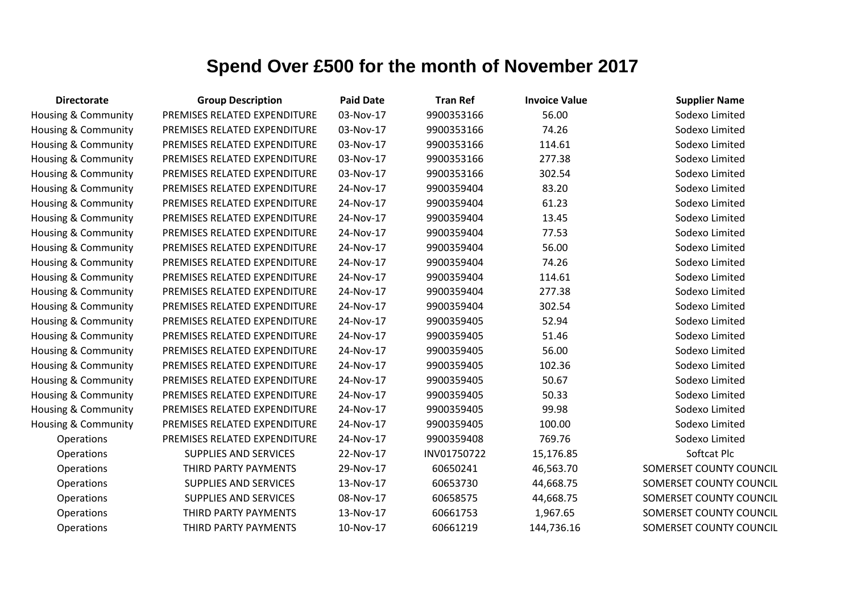| <b>Directorate</b>             | <b>Group Description</b>     | <b>Paid Date</b> | <b>Tran Ref</b> | <b>Invoice Value</b> | <b>Supplier Name</b>    |
|--------------------------------|------------------------------|------------------|-----------------|----------------------|-------------------------|
| <b>Housing &amp; Community</b> | PREMISES RELATED EXPENDITURE | 03-Nov-17        | 9900353166      | 56.00                | Sodexo Limited          |
| <b>Housing &amp; Community</b> | PREMISES RELATED EXPENDITURE | 03-Nov-17        | 9900353166      | 74.26                | Sodexo Limited          |
| Housing & Community            | PREMISES RELATED EXPENDITURE | 03-Nov-17        | 9900353166      | 114.61               | Sodexo Limited          |
| <b>Housing &amp; Community</b> | PREMISES RELATED EXPENDITURE | 03-Nov-17        | 9900353166      | 277.38               | Sodexo Limited          |
| Housing & Community            | PREMISES RELATED EXPENDITURE | 03-Nov-17        | 9900353166      | 302.54               | Sodexo Limited          |
| Housing & Community            | PREMISES RELATED EXPENDITURE | 24-Nov-17        | 9900359404      | 83.20                | Sodexo Limited          |
| Housing & Community            | PREMISES RELATED EXPENDITURE | 24-Nov-17        | 9900359404      | 61.23                | Sodexo Limited          |
| <b>Housing &amp; Community</b> | PREMISES RELATED EXPENDITURE | 24-Nov-17        | 9900359404      | 13.45                | Sodexo Limited          |
| Housing & Community            | PREMISES RELATED EXPENDITURE | 24-Nov-17        | 9900359404      | 77.53                | Sodexo Limited          |
| <b>Housing &amp; Community</b> | PREMISES RELATED EXPENDITURE | 24-Nov-17        | 9900359404      | 56.00                | Sodexo Limited          |
| Housing & Community            | PREMISES RELATED EXPENDITURE | 24-Nov-17        | 9900359404      | 74.26                | Sodexo Limited          |
| Housing & Community            | PREMISES RELATED EXPENDITURE | 24-Nov-17        | 9900359404      | 114.61               | Sodexo Limited          |
| Housing & Community            | PREMISES RELATED EXPENDITURE | 24-Nov-17        | 9900359404      | 277.38               | Sodexo Limited          |
| Housing & Community            | PREMISES RELATED EXPENDITURE | 24-Nov-17        | 9900359404      | 302.54               | Sodexo Limited          |
| Housing & Community            | PREMISES RELATED EXPENDITURE | 24-Nov-17        | 9900359405      | 52.94                | Sodexo Limited          |
| <b>Housing &amp; Community</b> | PREMISES RELATED EXPENDITURE | 24-Nov-17        | 9900359405      | 51.46                | Sodexo Limited          |
| <b>Housing &amp; Community</b> | PREMISES RELATED EXPENDITURE | 24-Nov-17        | 9900359405      | 56.00                | Sodexo Limited          |
| Housing & Community            | PREMISES RELATED EXPENDITURE | 24-Nov-17        | 9900359405      | 102.36               | Sodexo Limited          |
| Housing & Community            | PREMISES RELATED EXPENDITURE | 24-Nov-17        | 9900359405      | 50.67                | Sodexo Limited          |
| Housing & Community            | PREMISES RELATED EXPENDITURE | 24-Nov-17        | 9900359405      | 50.33                | Sodexo Limited          |
| Housing & Community            | PREMISES RELATED EXPENDITURE | 24-Nov-17        | 9900359405      | 99.98                | Sodexo Limited          |
| Housing & Community            | PREMISES RELATED EXPENDITURE | 24-Nov-17        | 9900359405      | 100.00               | Sodexo Limited          |
| Operations                     | PREMISES RELATED EXPENDITURE | 24-Nov-17        | 9900359408      | 769.76               | Sodexo Limited          |
| Operations                     | <b>SUPPLIES AND SERVICES</b> | 22-Nov-17        | INV01750722     | 15,176.85            | Softcat Plc             |
| Operations                     | THIRD PARTY PAYMENTS         | 29-Nov-17        | 60650241        | 46,563.70            | SOMERSET COUNTY COUNCIL |
| Operations                     | <b>SUPPLIES AND SERVICES</b> | 13-Nov-17        | 60653730        | 44,668.75            | SOMERSET COUNTY COUNCIL |
| Operations                     | <b>SUPPLIES AND SERVICES</b> | 08-Nov-17        | 60658575        | 44,668.75            | SOMERSET COUNTY COUNCIL |
| Operations                     | THIRD PARTY PAYMENTS         | 13-Nov-17        | 60661753        | 1,967.65             | SOMERSET COUNTY COUNCIL |
| Operations                     | THIRD PARTY PAYMENTS         | 10-Nov-17        | 60661219        | 144,736.16           | SOMERSET COUNTY COUNCIL |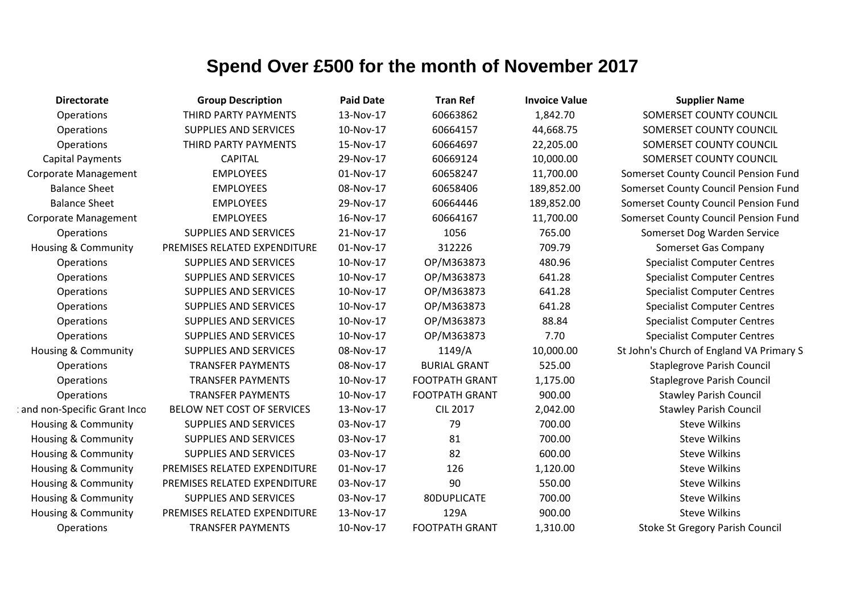| <b>Directorate</b>             | <b>Group Description</b>     | <b>Paid Date</b> | <b>Tran Ref</b>       | <b>Invoice Value</b> | <b>Supplier Name</b>                     |
|--------------------------------|------------------------------|------------------|-----------------------|----------------------|------------------------------------------|
| Operations                     | THIRD PARTY PAYMENTS         | 13-Nov-17        | 60663862              | 1,842.70             | SOMERSET COUNTY COUNCIL                  |
| <b>Operations</b>              | <b>SUPPLIES AND SERVICES</b> | 10-Nov-17        | 60664157              | 44,668.75            | SOMERSET COUNTY COUNCIL                  |
| Operations                     | THIRD PARTY PAYMENTS         | 15-Nov-17        | 60664697              | 22,205.00            | SOMERSET COUNTY COUNCIL                  |
| <b>Capital Payments</b>        | <b>CAPITAL</b>               | 29-Nov-17        | 60669124              | 10,000.00            | SOMERSET COUNTY COUNCIL                  |
| Corporate Management           | <b>EMPLOYEES</b>             | 01-Nov-17        | 60658247              | 11,700.00            | Somerset County Council Pension Fund     |
| <b>Balance Sheet</b>           | <b>EMPLOYEES</b>             | 08-Nov-17        | 60658406              | 189,852.00           | Somerset County Council Pension Fund     |
| <b>Balance Sheet</b>           | <b>EMPLOYEES</b>             | 29-Nov-17        | 60664446              | 189,852.00           | Somerset County Council Pension Fund     |
| <b>Corporate Management</b>    | <b>EMPLOYEES</b>             | 16-Nov-17        | 60664167              | 11,700.00            | Somerset County Council Pension Fund     |
| Operations                     | <b>SUPPLIES AND SERVICES</b> | 21-Nov-17        | 1056                  | 765.00               | Somerset Dog Warden Service              |
| <b>Housing &amp; Community</b> | PREMISES RELATED EXPENDITURE | 01-Nov-17        | 312226                | 709.79               | Somerset Gas Company                     |
| Operations                     | <b>SUPPLIES AND SERVICES</b> | 10-Nov-17        | OP/M363873            | 480.96               | <b>Specialist Computer Centres</b>       |
| Operations                     | <b>SUPPLIES AND SERVICES</b> | 10-Nov-17        | OP/M363873            | 641.28               | <b>Specialist Computer Centres</b>       |
| Operations                     | <b>SUPPLIES AND SERVICES</b> | 10-Nov-17        | OP/M363873            | 641.28               | <b>Specialist Computer Centres</b>       |
| Operations                     | <b>SUPPLIES AND SERVICES</b> | 10-Nov-17        | OP/M363873            | 641.28               | <b>Specialist Computer Centres</b>       |
| Operations                     | <b>SUPPLIES AND SERVICES</b> | 10-Nov-17        | OP/M363873            | 88.84                | <b>Specialist Computer Centres</b>       |
| Operations                     | <b>SUPPLIES AND SERVICES</b> | 10-Nov-17        | OP/M363873            | 7.70                 | <b>Specialist Computer Centres</b>       |
| <b>Housing &amp; Community</b> | <b>SUPPLIES AND SERVICES</b> | 08-Nov-17        | 1149/A                | 10,000.00            | St John's Church of England VA Primary S |
| Operations                     | <b>TRANSFER PAYMENTS</b>     | 08-Nov-17        | <b>BURIAL GRANT</b>   | 525.00               | <b>Staplegrove Parish Council</b>        |
| Operations                     | <b>TRANSFER PAYMENTS</b>     | 10-Nov-17        | <b>FOOTPATH GRANT</b> | 1,175.00             | <b>Staplegrove Parish Council</b>        |
| Operations                     | <b>TRANSFER PAYMENTS</b>     | 10-Nov-17        | <b>FOOTPATH GRANT</b> | 900.00               | <b>Stawley Parish Council</b>            |
| and non-Specific Grant Inco    | BELOW NET COST OF SERVICES   | 13-Nov-17        | <b>CIL 2017</b>       | 2,042.00             | <b>Stawley Parish Council</b>            |
| Housing & Community            | <b>SUPPLIES AND SERVICES</b> | 03-Nov-17        | 79                    | 700.00               | <b>Steve Wilkins</b>                     |
| <b>Housing &amp; Community</b> | <b>SUPPLIES AND SERVICES</b> | 03-Nov-17        | 81                    | 700.00               | <b>Steve Wilkins</b>                     |
| Housing & Community            | <b>SUPPLIES AND SERVICES</b> | 03-Nov-17        | 82                    | 600.00               | <b>Steve Wilkins</b>                     |
| Housing & Community            | PREMISES RELATED EXPENDITURE | 01-Nov-17        | 126                   | 1,120.00             | <b>Steve Wilkins</b>                     |
| <b>Housing &amp; Community</b> | PREMISES RELATED EXPENDITURE | 03-Nov-17        | 90                    | 550.00               | <b>Steve Wilkins</b>                     |
| Housing & Community            | <b>SUPPLIES AND SERVICES</b> | 03-Nov-17        | 80DUPLICATE           | 700.00               | <b>Steve Wilkins</b>                     |
| Housing & Community            | PREMISES RELATED EXPENDITURE | 13-Nov-17        | 129A                  | 900.00               | <b>Steve Wilkins</b>                     |
| Operations                     | <b>TRANSFER PAYMENTS</b>     | 10-Nov-17        | <b>FOOTPATH GRANT</b> | 1,310.00             | <b>Stoke St Gregory Parish Council</b>   |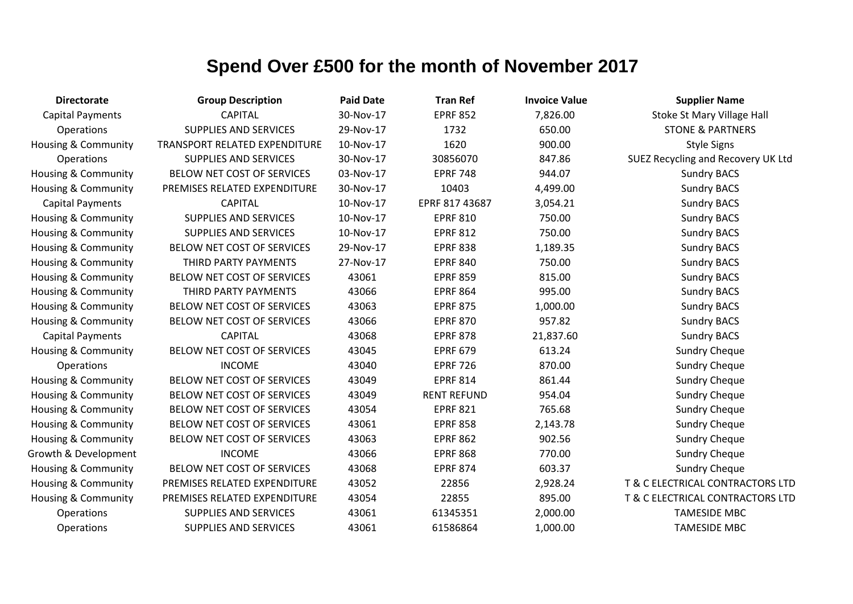| <b>Directorate</b>             | <b>Group Description</b>      | <b>Paid Date</b> | <b>Tran Ref</b>    | <b>Invoice Value</b> | <b>Supplier Name</b>               |
|--------------------------------|-------------------------------|------------------|--------------------|----------------------|------------------------------------|
| <b>Capital Payments</b>        | <b>CAPITAL</b>                | 30-Nov-17        | <b>EPRF 852</b>    | 7,826.00             | Stoke St Mary Village Hall         |
| Operations                     | <b>SUPPLIES AND SERVICES</b>  | 29-Nov-17        | 1732               | 650.00               | <b>STONE &amp; PARTNERS</b>        |
| <b>Housing &amp; Community</b> | TRANSPORT RELATED EXPENDITURE | 10-Nov-17        | 1620               | 900.00               | <b>Style Signs</b>                 |
| Operations                     | <b>SUPPLIES AND SERVICES</b>  | 30-Nov-17        | 30856070           | 847.86               | SUEZ Recycling and Recovery UK Ltd |
| Housing & Community            | BELOW NET COST OF SERVICES    | 03-Nov-17        | <b>EPRF 748</b>    | 944.07               | <b>Sundry BACS</b>                 |
| Housing & Community            | PREMISES RELATED EXPENDITURE  | 30-Nov-17        | 10403              | 4,499.00             | <b>Sundry BACS</b>                 |
| <b>Capital Payments</b>        | <b>CAPITAL</b>                | 10-Nov-17        | EPRF 817 43687     | 3,054.21             | <b>Sundry BACS</b>                 |
| <b>Housing &amp; Community</b> | <b>SUPPLIES AND SERVICES</b>  | 10-Nov-17        | <b>EPRF 810</b>    | 750.00               | <b>Sundry BACS</b>                 |
| Housing & Community            | <b>SUPPLIES AND SERVICES</b>  | 10-Nov-17        | <b>EPRF 812</b>    | 750.00               | <b>Sundry BACS</b>                 |
| <b>Housing &amp; Community</b> | BELOW NET COST OF SERVICES    | 29-Nov-17        | <b>EPRF 838</b>    | 1,189.35             | <b>Sundry BACS</b>                 |
| Housing & Community            | THIRD PARTY PAYMENTS          | 27-Nov-17        | <b>EPRF 840</b>    | 750.00               | <b>Sundry BACS</b>                 |
| Housing & Community            | BELOW NET COST OF SERVICES    | 43061            | <b>EPRF 859</b>    | 815.00               | <b>Sundry BACS</b>                 |
| Housing & Community            | THIRD PARTY PAYMENTS          | 43066            | <b>EPRF 864</b>    | 995.00               | <b>Sundry BACS</b>                 |
| Housing & Community            | BELOW NET COST OF SERVICES    | 43063            | <b>EPRF 875</b>    | 1,000.00             | <b>Sundry BACS</b>                 |
| Housing & Community            | BELOW NET COST OF SERVICES    | 43066            | <b>EPRF 870</b>    | 957.82               | <b>Sundry BACS</b>                 |
| <b>Capital Payments</b>        | <b>CAPITAL</b>                | 43068            | <b>EPRF 878</b>    | 21,837.60            | <b>Sundry BACS</b>                 |
| Housing & Community            | BELOW NET COST OF SERVICES    | 43045            | <b>EPRF 679</b>    | 613.24               | <b>Sundry Cheque</b>               |
| Operations                     | <b>INCOME</b>                 | 43040            | <b>EPRF 726</b>    | 870.00               | <b>Sundry Cheque</b>               |
| Housing & Community            | BELOW NET COST OF SERVICES    | 43049            | <b>EPRF 814</b>    | 861.44               | <b>Sundry Cheque</b>               |
| Housing & Community            | BELOW NET COST OF SERVICES    | 43049            | <b>RENT REFUND</b> | 954.04               | <b>Sundry Cheque</b>               |
| Housing & Community            | BELOW NET COST OF SERVICES    | 43054            | <b>EPRF 821</b>    | 765.68               | <b>Sundry Cheque</b>               |
| Housing & Community            | BELOW NET COST OF SERVICES    | 43061            | <b>EPRF 858</b>    | 2,143.78             | <b>Sundry Cheque</b>               |
| <b>Housing &amp; Community</b> | BELOW NET COST OF SERVICES    | 43063            | <b>EPRF 862</b>    | 902.56               | <b>Sundry Cheque</b>               |
| Growth & Development           | <b>INCOME</b>                 | 43066            | <b>EPRF 868</b>    | 770.00               | <b>Sundry Cheque</b>               |
| Housing & Community            | BELOW NET COST OF SERVICES    | 43068            | <b>EPRF 874</b>    | 603.37               | <b>Sundry Cheque</b>               |
| <b>Housing &amp; Community</b> | PREMISES RELATED EXPENDITURE  | 43052            | 22856              | 2,928.24             | T & C ELECTRICAL CONTRACTORS LTD   |
| Housing & Community            | PREMISES RELATED EXPENDITURE  | 43054            | 22855              | 895.00               | T & C ELECTRICAL CONTRACTORS LTD   |
| Operations                     | <b>SUPPLIES AND SERVICES</b>  | 43061            | 61345351           | 2,000.00             | <b>TAMESIDE MBC</b>                |
| Operations                     | <b>SUPPLIES AND SERVICES</b>  | 43061            | 61586864           | 1,000.00             | <b>TAMESIDE MBC</b>                |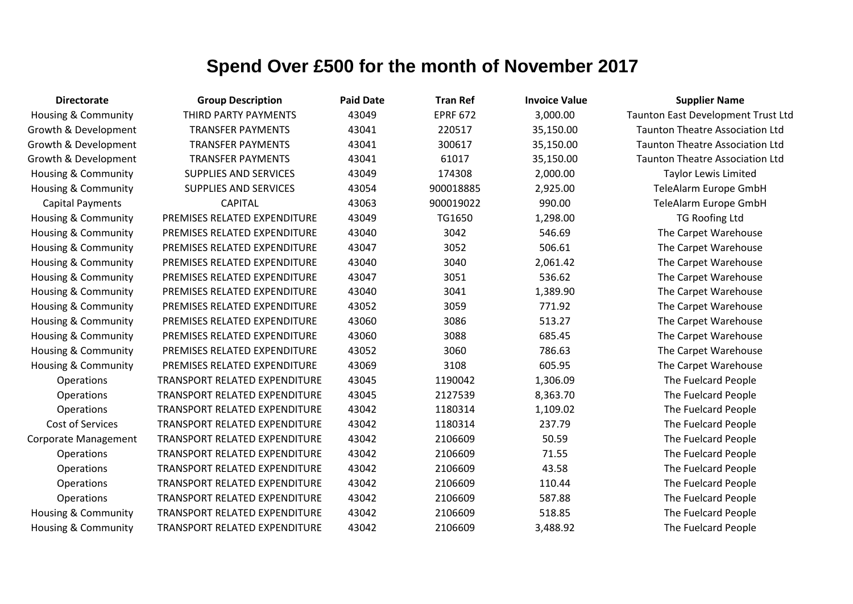| <b>Directorate</b>             | <b>Group Description</b>      | <b>Paid Date</b> | <b>Tran Ref</b> | <b>Invoice Value</b> | <b>Supplier Name</b>                   |
|--------------------------------|-------------------------------|------------------|-----------------|----------------------|----------------------------------------|
| Housing & Community            | THIRD PARTY PAYMENTS          | 43049            | <b>EPRF 672</b> | 3,000.00             | Taunton East Development Trust Ltd     |
| Growth & Development           | <b>TRANSFER PAYMENTS</b>      | 43041            | 220517          | 35,150.00            | <b>Taunton Theatre Association Ltd</b> |
| Growth & Development           | <b>TRANSFER PAYMENTS</b>      | 43041            | 300617          | 35,150.00            | <b>Taunton Theatre Association Ltd</b> |
| Growth & Development           | <b>TRANSFER PAYMENTS</b>      | 43041            | 61017           | 35,150.00            | <b>Taunton Theatre Association Ltd</b> |
| Housing & Community            | <b>SUPPLIES AND SERVICES</b>  | 43049            | 174308          | 2,000.00             | <b>Taylor Lewis Limited</b>            |
| <b>Housing &amp; Community</b> | SUPPLIES AND SERVICES         | 43054            | 900018885       | 2,925.00             | TeleAlarm Europe GmbH                  |
| <b>Capital Payments</b>        | <b>CAPITAL</b>                | 43063            | 900019022       | 990.00               | TeleAlarm Europe GmbH                  |
| <b>Housing &amp; Community</b> | PREMISES RELATED EXPENDITURE  | 43049            | TG1650          | 1,298.00             | <b>TG Roofing Ltd</b>                  |
| <b>Housing &amp; Community</b> | PREMISES RELATED EXPENDITURE  | 43040            | 3042            | 546.69               | The Carpet Warehouse                   |
| Housing & Community            | PREMISES RELATED EXPENDITURE  | 43047            | 3052            | 506.61               | The Carpet Warehouse                   |
| Housing & Community            | PREMISES RELATED EXPENDITURE  | 43040            | 3040            | 2,061.42             | The Carpet Warehouse                   |
| Housing & Community            | PREMISES RELATED EXPENDITURE  | 43047            | 3051            | 536.62               | The Carpet Warehouse                   |
| <b>Housing &amp; Community</b> | PREMISES RELATED EXPENDITURE  | 43040            | 3041            | 1,389.90             | The Carpet Warehouse                   |
| <b>Housing &amp; Community</b> | PREMISES RELATED EXPENDITURE  | 43052            | 3059            | 771.92               | The Carpet Warehouse                   |
| Housing & Community            | PREMISES RELATED EXPENDITURE  | 43060            | 3086            | 513.27               | The Carpet Warehouse                   |
| <b>Housing &amp; Community</b> | PREMISES RELATED EXPENDITURE  | 43060            | 3088            | 685.45               | The Carpet Warehouse                   |
| <b>Housing &amp; Community</b> | PREMISES RELATED EXPENDITURE  | 43052            | 3060            | 786.63               | The Carpet Warehouse                   |
| Housing & Community            | PREMISES RELATED EXPENDITURE  | 43069            | 3108            | 605.95               | The Carpet Warehouse                   |
| <b>Operations</b>              | TRANSPORT RELATED EXPENDITURE | 43045            | 1190042         | 1,306.09             | The Fuelcard People                    |
| Operations                     | TRANSPORT RELATED EXPENDITURE | 43045            | 2127539         | 8,363.70             | The Fuelcard People                    |
| Operations                     | TRANSPORT RELATED EXPENDITURE | 43042            | 1180314         | 1,109.02             | The Fuelcard People                    |
| Cost of Services               | TRANSPORT RELATED EXPENDITURE | 43042            | 1180314         | 237.79               | The Fuelcard People                    |
| Corporate Management           | TRANSPORT RELATED EXPENDITURE | 43042            | 2106609         | 50.59                | The Fuelcard People                    |
| Operations                     | TRANSPORT RELATED EXPENDITURE | 43042            | 2106609         | 71.55                | The Fuelcard People                    |
| Operations                     | TRANSPORT RELATED EXPENDITURE | 43042            | 2106609         | 43.58                | The Fuelcard People                    |
| Operations                     | TRANSPORT RELATED EXPENDITURE | 43042            | 2106609         | 110.44               | The Fuelcard People                    |
| Operations                     | TRANSPORT RELATED EXPENDITURE | 43042            | 2106609         | 587.88               | The Fuelcard People                    |
| <b>Housing &amp; Community</b> | TRANSPORT RELATED EXPENDITURE | 43042            | 2106609         | 518.85               | The Fuelcard People                    |
| Housing & Community            | TRANSPORT RELATED EXPENDITURE | 43042            | 2106609         | 3,488.92             | The Fuelcard People                    |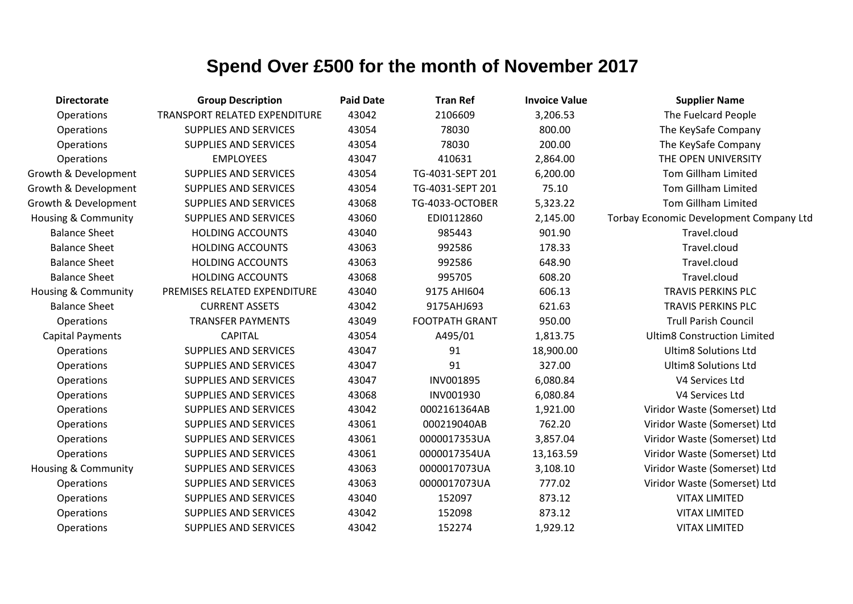| <b>Directorate</b>             | <b>Group Description</b>      | <b>Paid Date</b> | <b>Tran Ref</b>       | <b>Invoice Value</b> | <b>Supplier Name</b>                    |
|--------------------------------|-------------------------------|------------------|-----------------------|----------------------|-----------------------------------------|
| Operations                     | TRANSPORT RELATED EXPENDITURE | 43042            | 2106609               | 3,206.53             | The Fuelcard People                     |
| Operations                     | <b>SUPPLIES AND SERVICES</b>  | 43054            | 78030                 | 800.00               | The KeySafe Company                     |
| Operations                     | <b>SUPPLIES AND SERVICES</b>  | 43054            | 78030                 | 200.00               | The KeySafe Company                     |
| Operations                     | <b>EMPLOYEES</b>              | 43047            | 410631                | 2,864.00             | THE OPEN UNIVERSITY                     |
| Growth & Development           | <b>SUPPLIES AND SERVICES</b>  | 43054            | TG-4031-SEPT 201      | 6,200.00             | <b>Tom Gillham Limited</b>              |
| Growth & Development           | <b>SUPPLIES AND SERVICES</b>  | 43054            | TG-4031-SEPT 201      | 75.10                | <b>Tom Gillham Limited</b>              |
| Growth & Development           | <b>SUPPLIES AND SERVICES</b>  | 43068            | TG-4033-OCTOBER       | 5,323.22             | Tom Gillham Limited                     |
| <b>Housing &amp; Community</b> | <b>SUPPLIES AND SERVICES</b>  | 43060            | EDI0112860            | 2,145.00             | Torbay Economic Development Company Ltd |
| <b>Balance Sheet</b>           | <b>HOLDING ACCOUNTS</b>       | 43040            | 985443                | 901.90               | Travel.cloud                            |
| <b>Balance Sheet</b>           | <b>HOLDING ACCOUNTS</b>       | 43063            | 992586                | 178.33               | Travel.cloud                            |
| <b>Balance Sheet</b>           | <b>HOLDING ACCOUNTS</b>       | 43063            | 992586                | 648.90               | Travel.cloud                            |
| <b>Balance Sheet</b>           | <b>HOLDING ACCOUNTS</b>       | 43068            | 995705                | 608.20               | Travel.cloud                            |
| Housing & Community            | PREMISES RELATED EXPENDITURE  | 43040            | 9175 AHI604           | 606.13               | <b>TRAVIS PERKINS PLC</b>               |
| <b>Balance Sheet</b>           | <b>CURRENT ASSETS</b>         | 43042            | 9175AHJ693            | 621.63               | <b>TRAVIS PERKINS PLC</b>               |
| Operations                     | <b>TRANSFER PAYMENTS</b>      | 43049            | <b>FOOTPATH GRANT</b> | 950.00               | <b>Trull Parish Council</b>             |
| <b>Capital Payments</b>        | <b>CAPITAL</b>                | 43054            | A495/01               | 1,813.75             | <b>Ultim8 Construction Limited</b>      |
| Operations                     | <b>SUPPLIES AND SERVICES</b>  | 43047            | 91                    | 18,900.00            | <b>Ultim8 Solutions Ltd</b>             |
| Operations                     | <b>SUPPLIES AND SERVICES</b>  | 43047            | 91                    | 327.00               | <b>Ultim8 Solutions Ltd</b>             |
| Operations                     | <b>SUPPLIES AND SERVICES</b>  | 43047            | <b>INV001895</b>      | 6,080.84             | V4 Services Ltd                         |
| Operations                     | <b>SUPPLIES AND SERVICES</b>  | 43068            | INV001930             | 6,080.84             | V4 Services Ltd                         |
| Operations                     | <b>SUPPLIES AND SERVICES</b>  | 43042            | 0002161364AB          | 1,921.00             | Viridor Waste (Somerset) Ltd            |
| Operations                     | <b>SUPPLIES AND SERVICES</b>  | 43061            | 000219040AB           | 762.20               | Viridor Waste (Somerset) Ltd            |
| Operations                     | <b>SUPPLIES AND SERVICES</b>  | 43061            | 0000017353UA          | 3,857.04             | Viridor Waste (Somerset) Ltd            |
| Operations                     | <b>SUPPLIES AND SERVICES</b>  | 43061            | 0000017354UA          | 13,163.59            | Viridor Waste (Somerset) Ltd            |
| Housing & Community            | SUPPLIES AND SERVICES         | 43063            | 0000017073UA          | 3,108.10             | Viridor Waste (Somerset) Ltd            |
| Operations                     | <b>SUPPLIES AND SERVICES</b>  | 43063            | 0000017073UA          | 777.02               | Viridor Waste (Somerset) Ltd            |
| Operations                     | <b>SUPPLIES AND SERVICES</b>  | 43040            | 152097                | 873.12               | <b>VITAX LIMITED</b>                    |
| Operations                     | <b>SUPPLIES AND SERVICES</b>  | 43042            | 152098                | 873.12               | <b>VITAX LIMITED</b>                    |
| Operations                     | <b>SUPPLIES AND SERVICES</b>  | 43042            | 152274                | 1,929.12             | <b>VITAX LIMITED</b>                    |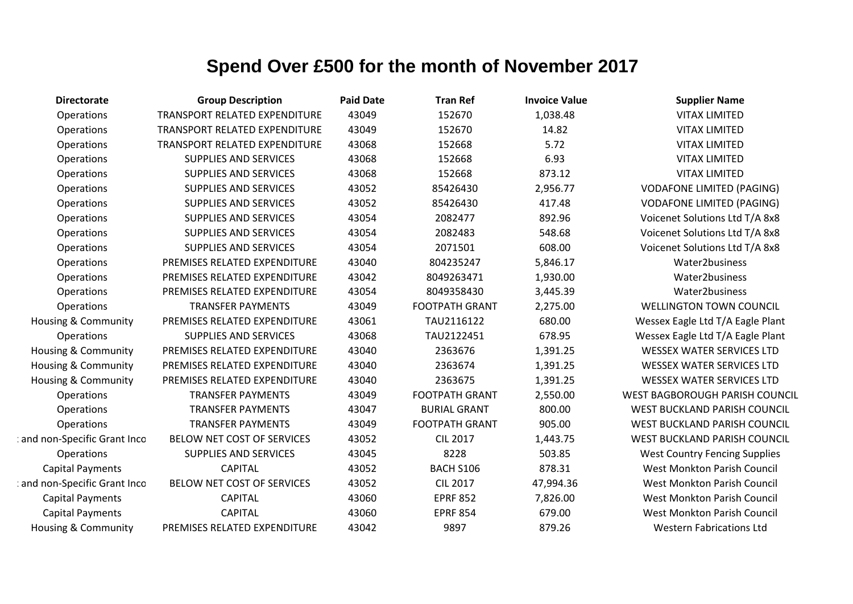| <b>Directorate</b>             | <b>Group Description</b>             | <b>Paid Date</b> | <b>Tran Ref</b>       | <b>Invoice Value</b> | <b>Supplier Name</b>                 |
|--------------------------------|--------------------------------------|------------------|-----------------------|----------------------|--------------------------------------|
| Operations                     | <b>TRANSPORT RELATED EXPENDITURE</b> | 43049            | 152670                | 1,038.48             | <b>VITAX LIMITED</b>                 |
| Operations                     | TRANSPORT RELATED EXPENDITURE        | 43049            | 152670                | 14.82                | <b>VITAX LIMITED</b>                 |
| Operations                     | TRANSPORT RELATED EXPENDITURE        | 43068            | 152668                | 5.72                 | <b>VITAX LIMITED</b>                 |
| Operations                     | <b>SUPPLIES AND SERVICES</b>         | 43068            | 152668                | 6.93                 | <b>VITAX LIMITED</b>                 |
| Operations                     | <b>SUPPLIES AND SERVICES</b>         | 43068            | 152668                | 873.12               | <b>VITAX LIMITED</b>                 |
| Operations                     | <b>SUPPLIES AND SERVICES</b>         | 43052            | 85426430              | 2,956.77             | <b>VODAFONE LIMITED (PAGING)</b>     |
| Operations                     | <b>SUPPLIES AND SERVICES</b>         | 43052            | 85426430              | 417.48               | <b>VODAFONE LIMITED (PAGING)</b>     |
| Operations                     | <b>SUPPLIES AND SERVICES</b>         | 43054            | 2082477               | 892.96               | Voicenet Solutions Ltd T/A 8x8       |
| Operations                     | <b>SUPPLIES AND SERVICES</b>         | 43054            | 2082483               | 548.68               | Voicenet Solutions Ltd T/A 8x8       |
| Operations                     | <b>SUPPLIES AND SERVICES</b>         | 43054            | 2071501               | 608.00               | Voicenet Solutions Ltd T/A 8x8       |
| Operations                     | PREMISES RELATED EXPENDITURE         | 43040            | 804235247             | 5,846.17             | Water2business                       |
| Operations                     | PREMISES RELATED EXPENDITURE         | 43042            | 8049263471            | 1,930.00             | Water2business                       |
| Operations                     | PREMISES RELATED EXPENDITURE         | 43054            | 8049358430            | 3,445.39             | Water2business                       |
| Operations                     | <b>TRANSFER PAYMENTS</b>             | 43049            | <b>FOOTPATH GRANT</b> | 2,275.00             | WELLINGTON TOWN COUNCIL              |
| <b>Housing &amp; Community</b> | PREMISES RELATED EXPENDITURE         | 43061            | TAU2116122            | 680.00               | Wessex Eagle Ltd T/A Eagle Plant     |
| Operations                     | <b>SUPPLIES AND SERVICES</b>         | 43068            | TAU2122451            | 678.95               | Wessex Eagle Ltd T/A Eagle Plant     |
| <b>Housing &amp; Community</b> | PREMISES RELATED EXPENDITURE         | 43040            | 2363676               | 1,391.25             | <b>WESSEX WATER SERVICES LTD</b>     |
| <b>Housing &amp; Community</b> | PREMISES RELATED EXPENDITURE         | 43040            | 2363674               | 1,391.25             | <b>WESSEX WATER SERVICES LTD</b>     |
| Housing & Community            | PREMISES RELATED EXPENDITURE         | 43040            | 2363675               | 1,391.25             | <b>WESSEX WATER SERVICES LTD</b>     |
| Operations                     | <b>TRANSFER PAYMENTS</b>             | 43049            | <b>FOOTPATH GRANT</b> | 2,550.00             | WEST BAGBOROUGH PARISH COUNCIL       |
| Operations                     | <b>TRANSFER PAYMENTS</b>             | 43047            | <b>BURIAL GRANT</b>   | 800.00               | WEST BUCKLAND PARISH COUNCIL         |
| Operations                     | <b>TRANSFER PAYMENTS</b>             | 43049            | <b>FOOTPATH GRANT</b> | 905.00               | WEST BUCKLAND PARISH COUNCIL         |
| and non-Specific Grant Inco    | BELOW NET COST OF SERVICES           | 43052            | <b>CIL 2017</b>       | 1,443.75             | WEST BUCKLAND PARISH COUNCIL         |
| Operations                     | <b>SUPPLIES AND SERVICES</b>         | 43045            | 8228                  | 503.85               | <b>West Country Fencing Supplies</b> |
| <b>Capital Payments</b>        | <b>CAPITAL</b>                       | 43052            | BACH S106             | 878.31               | <b>West Monkton Parish Council</b>   |
| and non-Specific Grant Inco    | BELOW NET COST OF SERVICES           | 43052            | <b>CIL 2017</b>       | 47,994.36            | <b>West Monkton Parish Council</b>   |
| <b>Capital Payments</b>        | <b>CAPITAL</b>                       | 43060            | <b>EPRF 852</b>       | 7,826.00             | West Monkton Parish Council          |
| <b>Capital Payments</b>        | <b>CAPITAL</b>                       | 43060            | <b>EPRF 854</b>       | 679.00               | <b>West Monkton Parish Council</b>   |
| <b>Housing &amp; Community</b> | PREMISES RELATED EXPENDITURE         | 43042            | 9897                  | 879.26               | <b>Western Fabrications Ltd</b>      |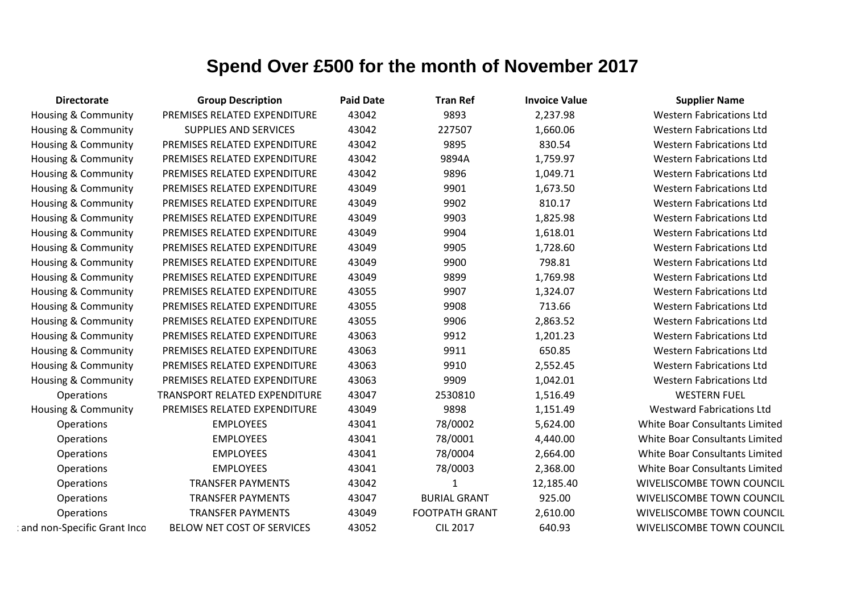| <b>Directorate</b>             | <b>Group Description</b>      | <b>Paid Date</b> | <b>Tran Ref</b>       | <b>Invoice Value</b> | <b>Supplier Name</b>             |
|--------------------------------|-------------------------------|------------------|-----------------------|----------------------|----------------------------------|
| <b>Housing &amp; Community</b> | PREMISES RELATED EXPENDITURE  | 43042            | 9893                  | 2,237.98             | <b>Western Fabrications Ltd</b>  |
| Housing & Community            | <b>SUPPLIES AND SERVICES</b>  | 43042            | 227507                | 1,660.06             | <b>Western Fabrications Ltd</b>  |
| Housing & Community            | PREMISES RELATED EXPENDITURE  | 43042            | 9895                  | 830.54               | <b>Western Fabrications Ltd</b>  |
| Housing & Community            | PREMISES RELATED EXPENDITURE  | 43042            | 9894A                 | 1,759.97             | <b>Western Fabrications Ltd</b>  |
| Housing & Community            | PREMISES RELATED EXPENDITURE  | 43042            | 9896                  | 1,049.71             | <b>Western Fabrications Ltd</b>  |
| Housing & Community            | PREMISES RELATED EXPENDITURE  | 43049            | 9901                  | 1,673.50             | <b>Western Fabrications Ltd</b>  |
| Housing & Community            | PREMISES RELATED EXPENDITURE  | 43049            | 9902                  | 810.17               | <b>Western Fabrications Ltd</b>  |
| Housing & Community            | PREMISES RELATED EXPENDITURE  | 43049            | 9903                  | 1,825.98             | <b>Western Fabrications Ltd</b>  |
| Housing & Community            | PREMISES RELATED EXPENDITURE  | 43049            | 9904                  | 1,618.01             | <b>Western Fabrications Ltd</b>  |
| Housing & Community            | PREMISES RELATED EXPENDITURE  | 43049            | 9905                  | 1,728.60             | <b>Western Fabrications Ltd</b>  |
| Housing & Community            | PREMISES RELATED EXPENDITURE  | 43049            | 9900                  | 798.81               | <b>Western Fabrications Ltd</b>  |
| Housing & Community            | PREMISES RELATED EXPENDITURE  | 43049            | 9899                  | 1,769.98             | <b>Western Fabrications Ltd</b>  |
| Housing & Community            | PREMISES RELATED EXPENDITURE  | 43055            | 9907                  | 1,324.07             | <b>Western Fabrications Ltd</b>  |
| Housing & Community            | PREMISES RELATED EXPENDITURE  | 43055            | 9908                  | 713.66               | <b>Western Fabrications Ltd</b>  |
| Housing & Community            | PREMISES RELATED EXPENDITURE  | 43055            | 9906                  | 2,863.52             | <b>Western Fabrications Ltd</b>  |
| Housing & Community            | PREMISES RELATED EXPENDITURE  | 43063            | 9912                  | 1,201.23             | <b>Western Fabrications Ltd</b>  |
| <b>Housing &amp; Community</b> | PREMISES RELATED EXPENDITURE  | 43063            | 9911                  | 650.85               | <b>Western Fabrications Ltd</b>  |
| Housing & Community            | PREMISES RELATED EXPENDITURE  | 43063            | 9910                  | 2,552.45             | <b>Western Fabrications Ltd</b>  |
| Housing & Community            | PREMISES RELATED EXPENDITURE  | 43063            | 9909                  | 1,042.01             | <b>Western Fabrications Ltd</b>  |
| Operations                     | TRANSPORT RELATED EXPENDITURE | 43047            | 2530810               | 1,516.49             | <b>WESTERN FUEL</b>              |
| Housing & Community            | PREMISES RELATED EXPENDITURE  | 43049            | 9898                  | 1,151.49             | <b>Westward Fabrications Ltd</b> |
| Operations                     | <b>EMPLOYEES</b>              | 43041            | 78/0002               | 5,624.00             | White Boar Consultants Limited   |
| Operations                     | <b>EMPLOYEES</b>              | 43041            | 78/0001               | 4,440.00             | White Boar Consultants Limited   |
| Operations                     | <b>EMPLOYEES</b>              | 43041            | 78/0004               | 2,664.00             | White Boar Consultants Limited   |
| Operations                     | <b>EMPLOYEES</b>              | 43041            | 78/0003               | 2,368.00             | White Boar Consultants Limited   |
| Operations                     | <b>TRANSFER PAYMENTS</b>      | 43042            | $\mathbf{1}$          | 12,185.40            | WIVELISCOMBE TOWN COUNCIL        |
| Operations                     | <b>TRANSFER PAYMENTS</b>      | 43047            | <b>BURIAL GRANT</b>   | 925.00               | WIVELISCOMBE TOWN COUNCIL        |
| Operations                     | <b>TRANSFER PAYMENTS</b>      | 43049            | <b>FOOTPATH GRANT</b> | 2,610.00             | WIVELISCOMBE TOWN COUNCIL        |
| and non-Specific Grant Inco    | BELOW NET COST OF SERVICES    | 43052            | <b>CIL 2017</b>       | 640.93               | WIVELISCOMBE TOWN COUNCIL        |